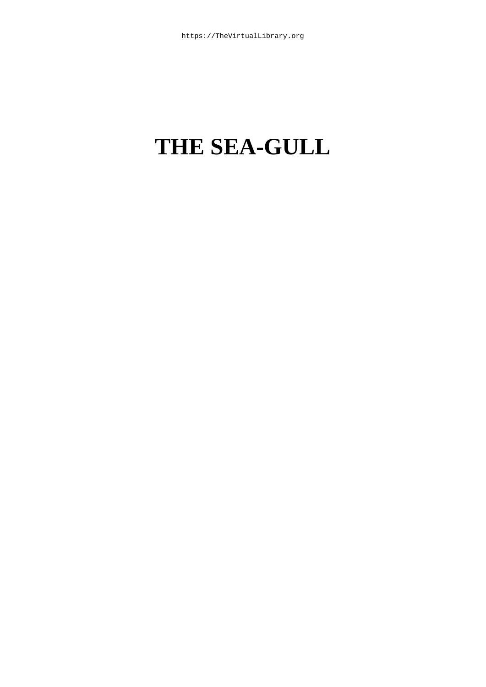# **THE SEA-GULL**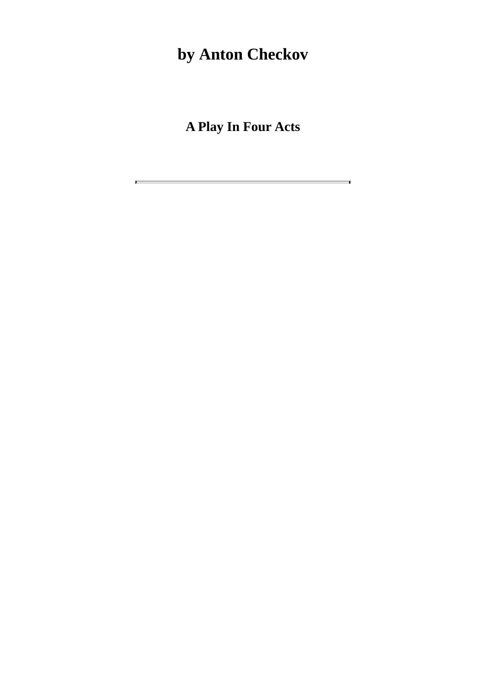## **by Anton Checkov**

**A Play In Four Acts**

 $\overline{\phantom{0}}$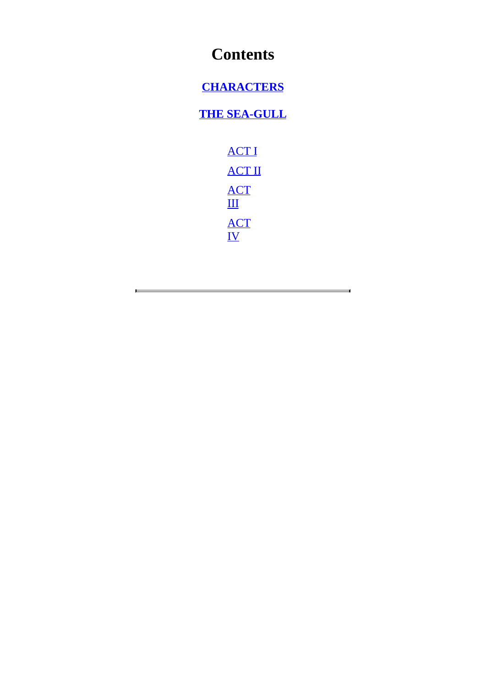### **Contents**

#### **CHARACTERS**

#### **THE SEA-GULL**

[ACT](#page-3-0) I ACT II [ACT](#page-4-0)  $\mathbf{III}$  $\mathbf{III}$  $\mathbf{III}$ ACT [IV](#page-25-0)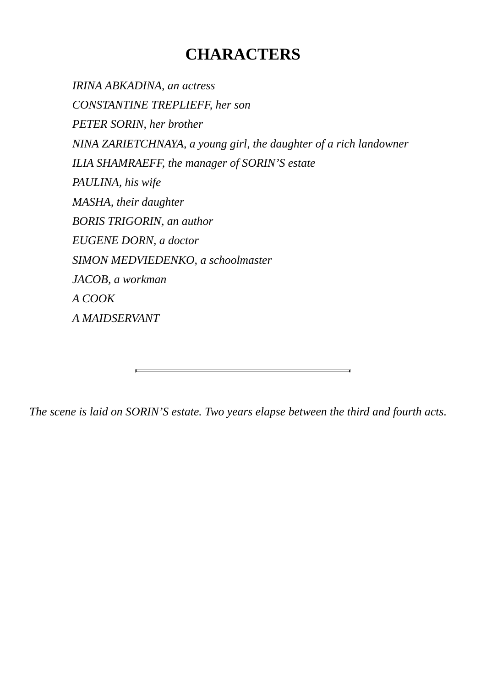### **CHARACTERS**

*IRINA ABKADINA, an actress CONSTANTINE TREPLIEFF, her son PETER SORIN, her brother NINA ZARIETCHNAYA, a young girl, the daughter of a rich landowner ILIA SHAMRAEFF, the manager of SORIN'S estate PAULINA, his wife MASHA, their daughter BORIS TRIGORIN, an author EUGENE DORN, a doctor SIMON MEDVIEDENKO, a schoolmaster JACOB, a workman A COOK A MAIDSERVANT*

<span id="page-3-0"></span>*The scene is laid on SORIN'S estate. Two years elapse between the third and fourth acts*.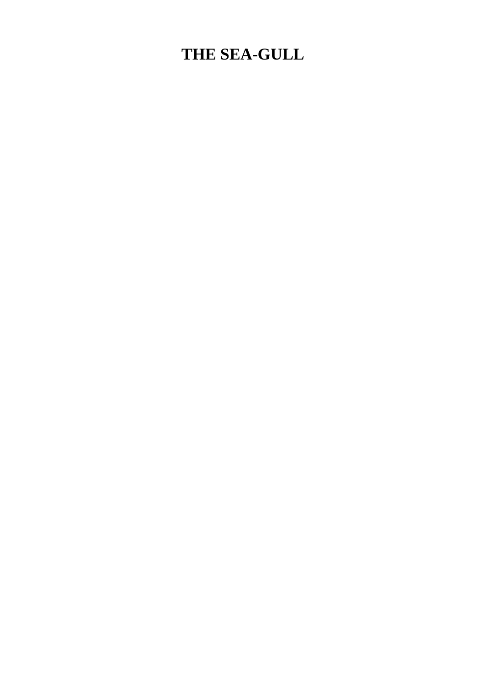### <span id="page-4-0"></span>**THE SEA-GULL**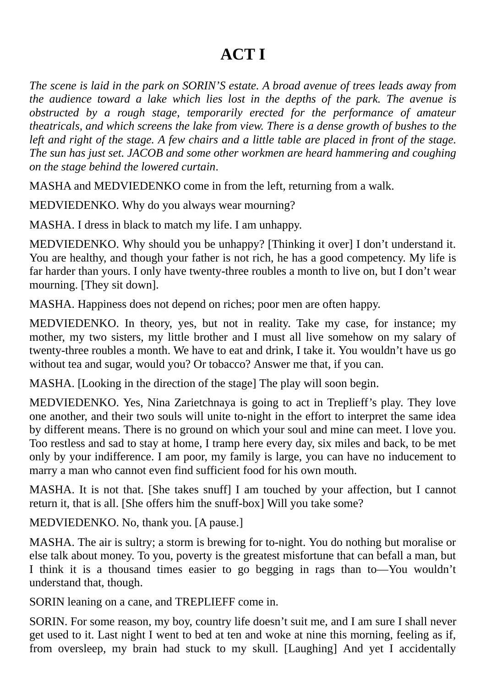### **ACT I**

*The scene is laid in the park on SORIN'S estate. A broad avenue of trees leads away from the audience toward a lake which lies lost in the depths of the park. The avenue is obstructed by a rough stage, temporarily erected for the performance of amateur theatricals, and which screens the lake from view. There is a dense growth of bushes to the* left and right of the stage. A few chairs and a little table are placed in front of the stage. *The sun has just set. JACOB and some other workmen are heard hammering and coughing on the stage behind the lowered curtain*.

MASHA and MEDVIEDENKO come in from the left, returning from a walk.

MEDVIEDENKO. Why do you always wear mourning?

MASHA. I dress in black to match my life. I am unhappy.

MEDVIEDENKO. Why should you be unhappy? [Thinking it over] I don't understand it. You are healthy, and though your father is not rich, he has a good competency. My life is far harder than yours. I only have twenty-three roubles a month to live on, but I don't wear mourning. [They sit down].

MASHA. Happiness does not depend on riches; poor men are often happy.

MEDVIEDENKO. In theory, yes, but not in reality. Take my case, for instance; my mother, my two sisters, my little brother and I must all live somehow on my salary of twenty-three roubles a month. We have to eat and drink, I take it. You wouldn't have us go without tea and sugar, would you? Or tobacco? Answer me that, if you can.

MASHA. [Looking in the direction of the stage] The play will soon begin.

MEDVIEDENKO. Yes, Nina Zarietchnaya is going to act in Treplieff's play. They love one another, and their two souls will unite to-night in the effort to interpret the same idea by different means. There is no ground on which your soul and mine can meet. I love you. Too restless and sad to stay at home, I tramp here every day, six miles and back, to be met only by your indifference. I am poor, my family is large, you can have no inducement to marry a man who cannot even find sufficient food for his own mouth.

MASHA. It is not that. [She takes snuff] I am touched by your affection, but I cannot return it, that is all. [She offers him the snuff-box] Will you take some?

MEDVIEDENKO. No, thank you. [A pause.]

MASHA. The air is sultry; a storm is brewing for to-night. You do nothing but moralise or else talk about money. To you, poverty is the greatest misfortune that can befall a man, but I think it is a thousand times easier to go begging in rags than to—You wouldn't understand that, though.

SORIN leaning on a cane, and TREPLIEFF come in.

SORIN. For some reason, my boy, country life doesn't suit me, and I am sure I shall never get used to it. Last night I went to bed at ten and woke at nine this morning, feeling as if, from oversleep, my brain had stuck to my skull. [Laughing] And yet I accidentally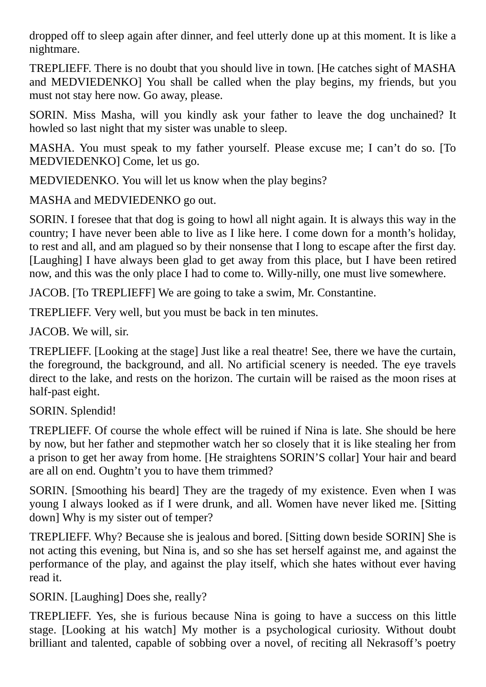dropped off to sleep again after dinner, and feel utterly done up at this moment. It is like a nightmare.

TREPLIEFF. There is no doubt that you should live in town. [He catches sight of MASHA and MEDVIEDENKO] You shall be called when the play begins, my friends, but you must not stay here now. Go away, please.

SORIN. Miss Masha, will you kindly ask your father to leave the dog unchained? It howled so last night that my sister was unable to sleep.

MASHA. You must speak to my father yourself. Please excuse me; I can't do so. [To MEDVIEDENKO] Come, let us go.

MEDVIEDENKO. You will let us know when the play begins?

MASHA and MEDVIEDENKO go out.

SORIN. I foresee that that dog is going to howl all night again. It is always this way in the country; I have never been able to live as I like here. I come down for a month's holiday, to rest and all, and am plagued so by their nonsense that I long to escape after the first day. [Laughing] I have always been glad to get away from this place, but I have been retired now, and this was the only place I had to come to. Willy-nilly, one must live somewhere.

JACOB. [To TREPLIEFF] We are going to take a swim, Mr. Constantine.

TREPLIEFF. Very well, but you must be back in ten minutes.

JACOB. We will, sir.

TREPLIEFF. [Looking at the stage] Just like a real theatre! See, there we have the curtain, the foreground, the background, and all. No artificial scenery is needed. The eye travels direct to the lake, and rests on the horizon. The curtain will be raised as the moon rises at half-past eight.

SORIN. Splendid!

TREPLIEFF. Of course the whole effect will be ruined if Nina is late. She should be here by now, but her father and stepmother watch her so closely that it is like stealing her from a prison to get her away from home. [He straightens SORIN'S collar] Your hair and beard are all on end. Oughtn't you to have them trimmed?

SORIN. [Smoothing his beard] They are the tragedy of my existence. Even when I was young I always looked as if I were drunk, and all. Women have never liked me. [Sitting down] Why is my sister out of temper?

TREPLIEFF. Why? Because she is jealous and bored. [Sitting down beside SORIN] She is not acting this evening, but Nina is, and so she has set herself against me, and against the performance of the play, and against the play itself, which she hates without ever having read it.

SORIN. [Laughing] Does she, really?

TREPLIEFF. Yes, she is furious because Nina is going to have a success on this little stage. [Looking at his watch] My mother is a psychological curiosity. Without doubt brilliant and talented, capable of sobbing over a novel, of reciting all Nekrasoff's poetry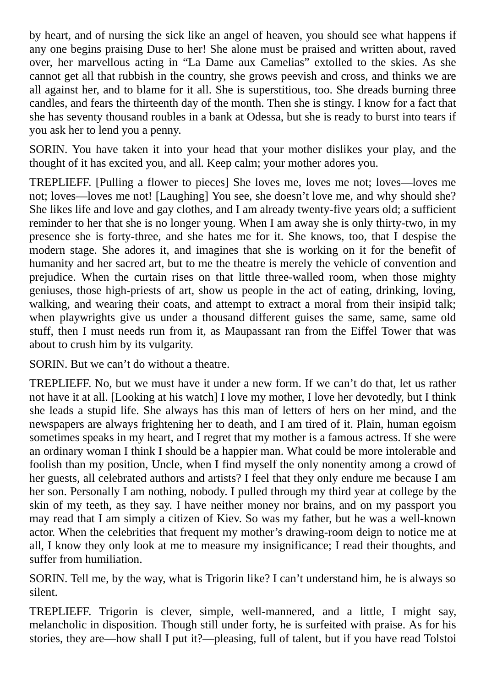by heart, and of nursing the sick like an angel of heaven, you should see what happens if any one begins praising Duse to her! She alone must be praised and written about, raved over, her marvellous acting in "La Dame aux Camelias" extolled to the skies. As she cannot get all that rubbish in the country, she grows peevish and cross, and thinks we are all against her, and to blame for it all. She is superstitious, too. She dreads burning three candles, and fears the thirteenth day of the month. Then she is stingy. I know for a fact that she has seventy thousand roubles in a bank at Odessa, but she is ready to burst into tears if you ask her to lend you a penny.

SORIN. You have taken it into your head that your mother dislikes your play, and the thought of it has excited you, and all. Keep calm; your mother adores you.

TREPLIEFF. [Pulling a flower to pieces] She loves me, loves me not; loves—loves me not; loves—loves me not! [Laughing] You see, she doesn't love me, and why should she? She likes life and love and gay clothes, and I am already twenty-five years old; a sufficient reminder to her that she is no longer young. When I am away she is only thirty-two, in my presence she is forty-three, and she hates me for it. She knows, too, that I despise the modern stage. She adores it, and imagines that she is working on it for the benefit of humanity and her sacred art, but to me the theatre is merely the vehicle of convention and prejudice. When the curtain rises on that little three-walled room, when those mighty geniuses, those high-priests of art, show us people in the act of eating, drinking, loving, walking, and wearing their coats, and attempt to extract a moral from their insipid talk; when playwrights give us under a thousand different guises the same, same, same old stuff, then I must needs run from it, as Maupassant ran from the Eiffel Tower that was about to crush him by its vulgarity.

SORIN. But we can't do without a theatre.

TREPLIEFF. No, but we must have it under a new form. If we can't do that, let us rather not have it at all. [Looking at his watch] I love my mother, I love her devotedly, but I think she leads a stupid life. She always has this man of letters of hers on her mind, and the newspapers are always frightening her to death, and I am tired of it. Plain, human egoism sometimes speaks in my heart, and I regret that my mother is a famous actress. If she were an ordinary woman I think I should be a happier man. What could be more intolerable and foolish than my position, Uncle, when I find myself the only nonentity among a crowd of her guests, all celebrated authors and artists? I feel that they only endure me because I am her son. Personally I am nothing, nobody. I pulled through my third year at college by the skin of my teeth, as they say. I have neither money nor brains, and on my passport you may read that I am simply a citizen of Kiev. So was my father, but he was a well-known actor. When the celebrities that frequent my mother's drawing-room deign to notice me at all, I know they only look at me to measure my insignificance; I read their thoughts, and suffer from humiliation.

SORIN. Tell me, by the way, what is Trigorin like? I can't understand him, he is always so silent.

TREPLIEFF. Trigorin is clever, simple, well-mannered, and a little, I might say, melancholic in disposition. Though still under forty, he is surfeited with praise. As for his stories, they are—how shall I put it?—pleasing, full of talent, but if you have read Tolstoi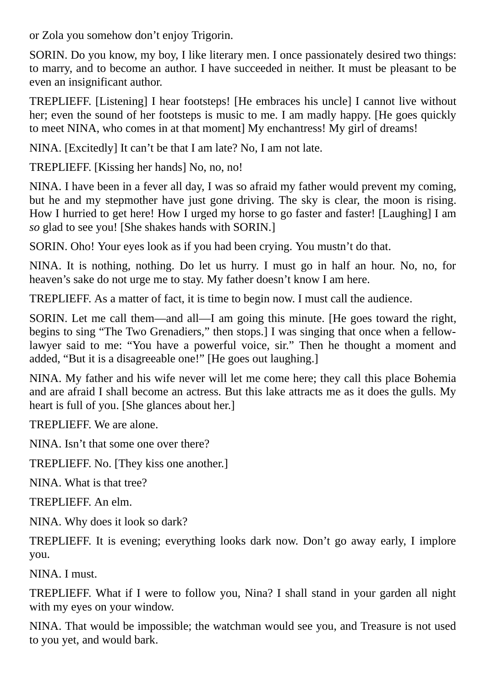or Zola you somehow don't enjoy Trigorin.

SORIN. Do you know, my boy, I like literary men. I once passionately desired two things: to marry, and to become an author. I have succeeded in neither. It must be pleasant to be even an insignificant author.

TREPLIEFF. [Listening] I hear footsteps! [He embraces his uncle] I cannot live without her; even the sound of her footsteps is music to me. I am madly happy. [He goes quickly to meet NINA, who comes in at that moment] My enchantress! My girl of dreams!

NINA. [Excitedly] It can't be that I am late? No, I am not late.

TREPLIEFF. [Kissing her hands] No, no, no!

NINA. I have been in a fever all day, I was so afraid my father would prevent my coming, but he and my stepmother have just gone driving. The sky is clear, the moon is rising. How I hurried to get here! How I urged my horse to go faster and faster! [Laughing] I am *so* glad to see you! [She shakes hands with SORIN.]

SORIN. Oho! Your eyes look as if you had been crying. You mustn't do that.

NINA. It is nothing, nothing. Do let us hurry. I must go in half an hour. No, no, for heaven's sake do not urge me to stay. My father doesn't know I am here.

TREPLIEFF. As a matter of fact, it is time to begin now. I must call the audience.

SORIN. Let me call them—and all—I am going this minute. [He goes toward the right, begins to sing "The Two Grenadiers," then stops.] I was singing that once when a fellowlawyer said to me: "You have a powerful voice, sir." Then he thought a moment and added, "But it is a disagreeable one!" [He goes out laughing.]

NINA. My father and his wife never will let me come here; they call this place Bohemia and are afraid I shall become an actress. But this lake attracts me as it does the gulls. My heart is full of you. [She glances about her.]

TREPLIEFF. We are alone.

NINA. Isn't that some one over there?

TREPLIEFF. No. [They kiss one another.]

NINA. What is that tree?

TREPLIEFF. An elm.

NINA. Why does it look so dark?

TREPLIEFF. It is evening; everything looks dark now. Don't go away early, I implore you.

NINA. I must.

TREPLIEFF. What if I were to follow you, Nina? I shall stand in your garden all night with my eyes on your window.

NINA. That would be impossible; the watchman would see you, and Treasure is not used to you yet, and would bark.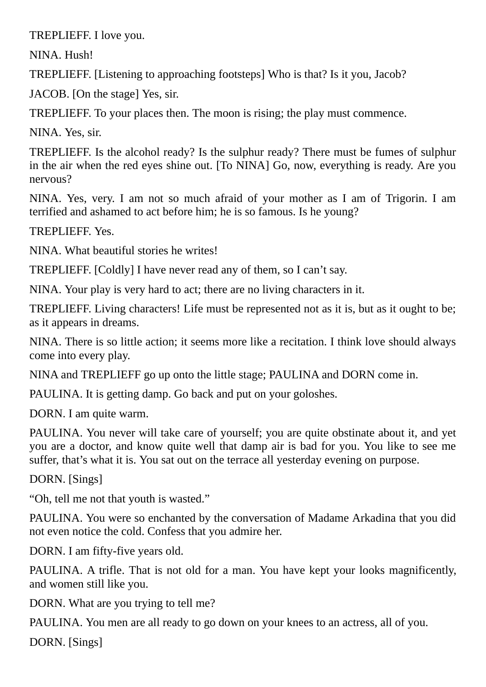TREPLIEFF. I love you.

NINA. Hush!

TREPLIEFF. [Listening to approaching footsteps] Who is that? Is it you, Jacob?

JACOB. [On the stage] Yes, sir.

TREPLIEFF. To your places then. The moon is rising; the play must commence.

NINA. Yes, sir.

TREPLIEFF. Is the alcohol ready? Is the sulphur ready? There must be fumes of sulphur in the air when the red eyes shine out. [To NINA] Go, now, everything is ready. Are you nervous?

NINA. Yes, very. I am not so much afraid of your mother as I am of Trigorin. I am terrified and ashamed to act before him; he is so famous. Is he young?

TREPLIEFF. Yes.

NINA. What beautiful stories he writes!

TREPLIEFF. [Coldly] I have never read any of them, so I can't say.

NINA. Your play is very hard to act; there are no living characters in it.

TREPLIEFF. Living characters! Life must be represented not as it is, but as it ought to be; as it appears in dreams.

NINA. There is so little action; it seems more like a recitation. I think love should always come into every play.

NINA and TREPLIEFF go up onto the little stage; PAULINA and DORN come in.

PAULINA. It is getting damp. Go back and put on your goloshes.

DORN. I am quite warm.

PAULINA. You never will take care of yourself; you are quite obstinate about it, and yet you are a doctor, and know quite well that damp air is bad for you. You like to see me suffer, that's what it is. You sat out on the terrace all yesterday evening on purpose.

DORN. [Sings]

"Oh, tell me not that youth is wasted."

PAULINA. You were so enchanted by the conversation of Madame Arkadina that you did not even notice the cold. Confess that you admire her.

DORN. I am fifty-five years old.

PAULINA. A trifle. That is not old for a man. You have kept your looks magnificently, and women still like you.

DORN. What are you trying to tell me?

PAULINA. You men are all ready to go down on your knees to an actress, all of you.

DORN. [Sings]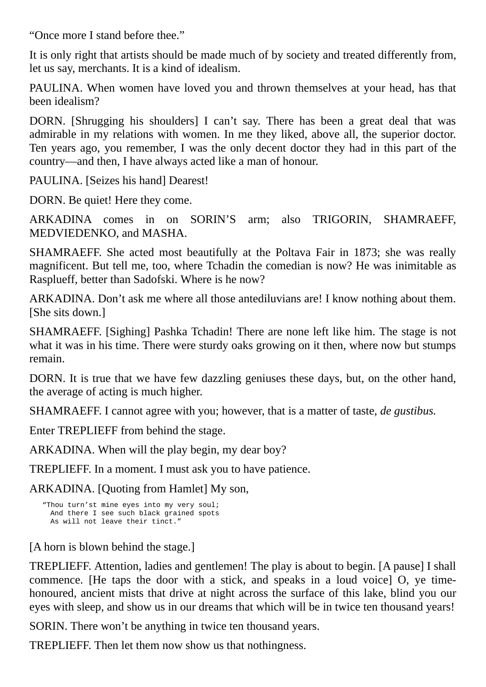"Once more I stand before thee."

It is only right that artists should be made much of by society and treated differently from, let us say, merchants. It is a kind of idealism.

PAULINA. When women have loved you and thrown themselves at your head, has that been idealism?

DORN. [Shrugging his shoulders] I can't say. There has been a great deal that was admirable in my relations with women. In me they liked, above all, the superior doctor. Ten years ago, you remember, I was the only decent doctor they had in this part of the country—and then, I have always acted like a man of honour.

PAULINA. [Seizes his hand] Dearest!

DORN. Be quiet! Here they come.

ARKADINA comes in on SORIN'S arm; also TRIGORIN, SHAMRAEFF, MEDVIEDENKO, and MASHA.

SHAMRAEFF. She acted most beautifully at the Poltava Fair in 1873; she was really magnificent. But tell me, too, where Tchadin the comedian is now? He was inimitable as Rasplueff, better than Sadofski. Where is he now?

ARKADINA. Don't ask me where all those antediluvians are! I know nothing about them. [She sits down.]

SHAMRAEFF. [Sighing] Pashka Tchadin! There are none left like him. The stage is not what it was in his time. There were sturdy oaks growing on it then, where now but stumps remain.

DORN. It is true that we have few dazzling geniuses these days, but, on the other hand, the average of acting is much higher.

SHAMRAEFF. I cannot agree with you; however, that is a matter of taste, *de gustibus.*

Enter TREPLIEFF from behind the stage.

ARKADINA. When will the play begin, my dear boy?

TREPLIEFF. In a moment. I must ask you to have patience.

ARKADINA. [Quoting from Hamlet] My son,

```
"Thou turn'st mine eyes into my very soul;
And there I see such black grained spots
As will not leave their tinct."
```
[A horn is blown behind the stage.]

TREPLIEFF. Attention, ladies and gentlemen! The play is about to begin. [A pause] I shall commence. [He taps the door with a stick, and speaks in a loud voice] O, ye timehonoured, ancient mists that drive at night across the surface of this lake, blind you our eyes with sleep, and show us in our dreams that which will be in twice ten thousand years!

SORIN. There won't be anything in twice ten thousand years.

TREPLIEFF. Then let them now show us that nothingness.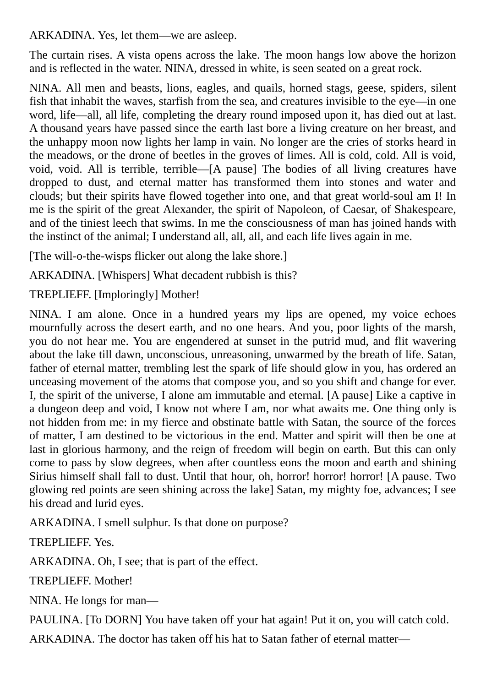ARKADINA. Yes, let them—we are asleep.

The curtain rises. A vista opens across the lake. The moon hangs low above the horizon and is reflected in the water. NINA, dressed in white, is seen seated on a great rock.

NINA. All men and beasts, lions, eagles, and quails, horned stags, geese, spiders, silent fish that inhabit the waves, starfish from the sea, and creatures invisible to the eye—in one word, life—all, all life, completing the dreary round imposed upon it, has died out at last. A thousand years have passed since the earth last bore a living creature on her breast, and the unhappy moon now lights her lamp in vain. No longer are the cries of storks heard in the meadows, or the drone of beetles in the groves of limes. All is cold, cold. All is void, void, void. All is terrible, terrible—[A pause] The bodies of all living creatures have dropped to dust, and eternal matter has transformed them into stones and water and clouds; but their spirits have flowed together into one, and that great world-soul am I! In me is the spirit of the great Alexander, the spirit of Napoleon, of Caesar, of Shakespeare, and of the tiniest leech that swims. In me the consciousness of man has joined hands with the instinct of the animal; I understand all, all, all, and each life lives again in me.

[The will-o-the-wisps flicker out along the lake shore.]

ARKADINA. [Whispers] What decadent rubbish is this?

TREPLIEFF. [Imploringly] Mother!

NINA. I am alone. Once in a hundred years my lips are opened, my voice echoes mournfully across the desert earth, and no one hears. And you, poor lights of the marsh, you do not hear me. You are engendered at sunset in the putrid mud, and flit wavering about the lake till dawn, unconscious, unreasoning, unwarmed by the breath of life. Satan, father of eternal matter, trembling lest the spark of life should glow in you, has ordered an unceasing movement of the atoms that compose you, and so you shift and change for ever. I, the spirit of the universe, I alone am immutable and eternal. [A pause] Like a captive in a dungeon deep and void, I know not where I am, nor what awaits me. One thing only is not hidden from me: in my fierce and obstinate battle with Satan, the source of the forces of matter, I am destined to be victorious in the end. Matter and spirit will then be one at last in glorious harmony, and the reign of freedom will begin on earth. But this can only come to pass by slow degrees, when after countless eons the moon and earth and shining Sirius himself shall fall to dust. Until that hour, oh, horror! horror! horror! [A pause. Two glowing red points are seen shining across the lake] Satan, my mighty foe, advances; I see his dread and lurid eyes.

ARKADINA. I smell sulphur. Is that done on purpose?

TREPLIEFF. Yes.

ARKADINA. Oh, I see; that is part of the effect.

TREPLIEFF. Mother!

NINA. He longs for man—

PAULINA. [To DORN] You have taken off your hat again! Put it on, you will catch cold.

ARKADINA. The doctor has taken off his hat to Satan father of eternal matter—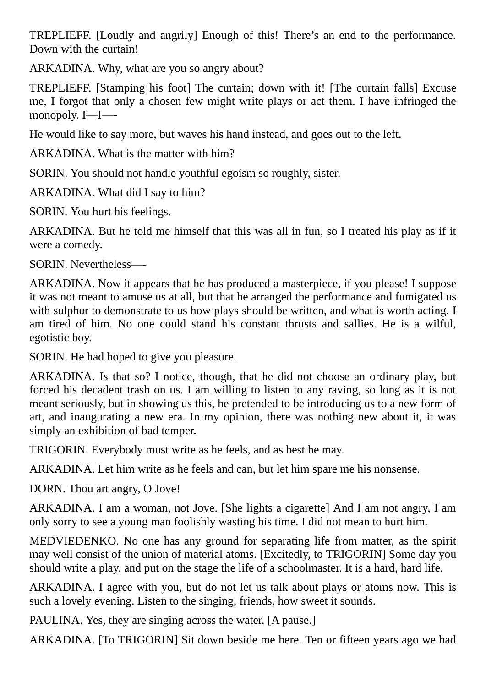TREPLIEFF. [Loudly and angrily] Enough of this! There's an end to the performance. Down with the curtain!

ARKADINA. Why, what are you so angry about?

TREPLIEFF. [Stamping his foot] The curtain; down with it! [The curtain falls] Excuse me, I forgot that only a chosen few might write plays or act them. I have infringed the monopoly. I—I—-

He would like to say more, but waves his hand instead, and goes out to the left.

ARKADINA. What is the matter with him?

SORIN. You should not handle youthful egoism so roughly, sister.

ARKADINA. What did I say to him?

SORIN. You hurt his feelings.

ARKADINA. But he told me himself that this was all in fun, so I treated his play as if it were a comedy.

SORIN. Nevertheless—-

ARKADINA. Now it appears that he has produced a masterpiece, if you please! I suppose it was not meant to amuse us at all, but that he arranged the performance and fumigated us with sulphur to demonstrate to us how plays should be written, and what is worth acting. I am tired of him. No one could stand his constant thrusts and sallies. He is a wilful, egotistic boy.

SORIN. He had hoped to give you pleasure.

ARKADINA. Is that so? I notice, though, that he did not choose an ordinary play, but forced his decadent trash on us. I am willing to listen to any raving, so long as it is not meant seriously, but in showing us this, he pretended to be introducing us to a new form of art, and inaugurating a new era. In my opinion, there was nothing new about it, it was simply an exhibition of bad temper.

TRIGORIN. Everybody must write as he feels, and as best he may.

ARKADINA. Let him write as he feels and can, but let him spare me his nonsense.

DORN. Thou art angry, O Jove!

ARKADINA. I am a woman, not Jove. [She lights a cigarette] And I am not angry, I am only sorry to see a young man foolishly wasting his time. I did not mean to hurt him.

MEDVIEDENKO. No one has any ground for separating life from matter, as the spirit may well consist of the union of material atoms. [Excitedly, to TRIGORIN] Some day you should write a play, and put on the stage the life of a schoolmaster. It is a hard, hard life.

ARKADINA. I agree with you, but do not let us talk about plays or atoms now. This is such a lovely evening. Listen to the singing, friends, how sweet it sounds.

PAULINA. Yes, they are singing across the water. [A pause.]

ARKADINA. [To TRIGORIN] Sit down beside me here. Ten or fifteen years ago we had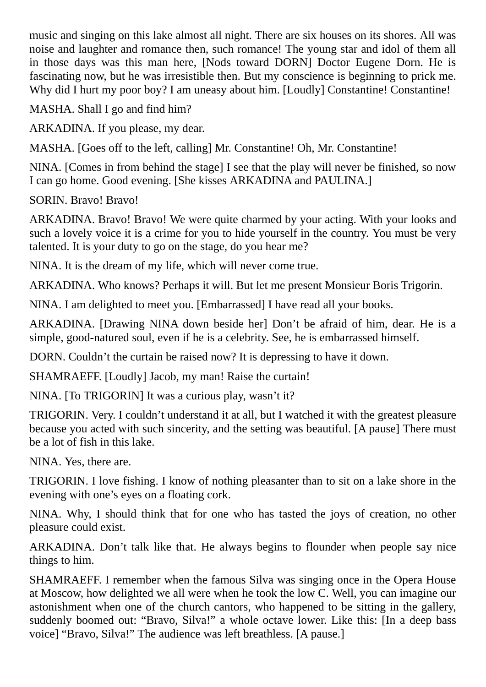music and singing on this lake almost all night. There are six houses on its shores. All was noise and laughter and romance then, such romance! The young star and idol of them all in those days was this man here, [Nods toward DORN] Doctor Eugene Dorn. He is fascinating now, but he was irresistible then. But my conscience is beginning to prick me. Why did I hurt my poor boy? I am uneasy about him. [Loudly] Constantine! Constantine!

MASHA. Shall I go and find him?

ARKADINA. If you please, my dear.

MASHA. [Goes off to the left, calling] Mr. Constantine! Oh, Mr. Constantine!

NINA. [Comes in from behind the stage] I see that the play will never be finished, so now I can go home. Good evening. [She kisses ARKADINA and PAULINA.]

SORIN. Bravo! Bravo!

ARKADINA. Bravo! Bravo! We were quite charmed by your acting. With your looks and such a lovely voice it is a crime for you to hide yourself in the country. You must be very talented. It is your duty to go on the stage, do you hear me?

NINA. It is the dream of my life, which will never come true.

ARKADINA. Who knows? Perhaps it will. But let me present Monsieur Boris Trigorin.

NINA. I am delighted to meet you. [Embarrassed] I have read all your books.

ARKADINA. [Drawing NINA down beside her] Don't be afraid of him, dear. He is a simple, good-natured soul, even if he is a celebrity. See, he is embarrassed himself.

DORN. Couldn't the curtain be raised now? It is depressing to have it down.

SHAMRAEFF. [Loudly] Jacob, my man! Raise the curtain!

NINA. [To TRIGORIN] It was a curious play, wasn't it?

TRIGORIN. Very. I couldn't understand it at all, but I watched it with the greatest pleasure because you acted with such sincerity, and the setting was beautiful. [A pause] There must be a lot of fish in this lake.

NINA. Yes, there are.

TRIGORIN. I love fishing. I know of nothing pleasanter than to sit on a lake shore in the evening with one's eyes on a floating cork.

NINA. Why, I should think that for one who has tasted the joys of creation, no other pleasure could exist.

ARKADINA. Don't talk like that. He always begins to flounder when people say nice things to him.

SHAMRAEFF. I remember when the famous Silva was singing once in the Opera House at Moscow, how delighted we all were when he took the low C. Well, you can imagine our astonishment when one of the church cantors, who happened to be sitting in the gallery, suddenly boomed out: "Bravo, Silva!" a whole octave lower. Like this: [In a deep bass voice] "Bravo, Silva!" The audience was left breathless. [A pause.]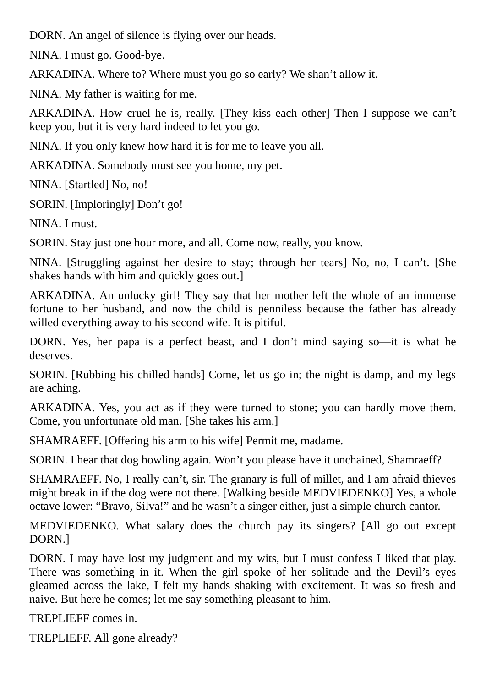DORN. An angel of silence is flying over our heads.

NINA. I must go. Good-bye.

ARKADINA. Where to? Where must you go so early? We shan't allow it.

NINA. My father is waiting for me.

ARKADINA. How cruel he is, really. [They kiss each other] Then I suppose we can't keep you, but it is very hard indeed to let you go.

NINA. If you only knew how hard it is for me to leave you all.

ARKADINA. Somebody must see you home, my pet.

NINA. [Startled] No, no!

SORIN. [Imploringly] Don't go!

NINA. I must.

SORIN. Stay just one hour more, and all. Come now, really, you know.

NINA. [Struggling against her desire to stay; through her tears] No, no, I can't. [She shakes hands with him and quickly goes out.]

ARKADINA. An unlucky girl! They say that her mother left the whole of an immense fortune to her husband, and now the child is penniless because the father has already willed everything away to his second wife. It is pitiful.

DORN. Yes, her papa is a perfect beast, and I don't mind saying so—it is what he deserves.

SORIN. [Rubbing his chilled hands] Come, let us go in; the night is damp, and my legs are aching.

ARKADINA. Yes, you act as if they were turned to stone; you can hardly move them. Come, you unfortunate old man. [She takes his arm.]

SHAMRAEFF. [Offering his arm to his wife] Permit me, madame.

SORIN. I hear that dog howling again. Won't you please have it unchained, Shamraeff?

SHAMRAEFF. No, I really can't, sir. The granary is full of millet, and I am afraid thieves might break in if the dog were not there. [Walking beside MEDVIEDENKO] Yes, a whole octave lower: "Bravo, Silva!" and he wasn't a singer either, just a simple church cantor.

MEDVIEDENKO. What salary does the church pay its singers? [All go out except DORN.]

DORN. I may have lost my judgment and my wits, but I must confess I liked that play. There was something in it. When the girl spoke of her solitude and the Devil's eyes gleamed across the lake, I felt my hands shaking with excitement. It was so fresh and naive. But here he comes; let me say something pleasant to him.

TREPLIEFF comes in.

TREPLIEFF. All gone already?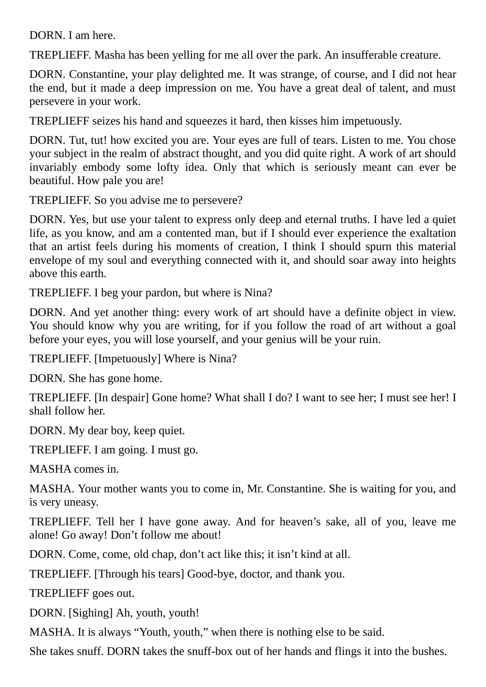DORN. I am here.

TREPLIEFF. Masha has been yelling for me all over the park. An insufferable creature.

DORN. Constantine, your play delighted me. It was strange, of course, and I did not hear the end, but it made a deep impression on me. You have a great deal of talent, and must persevere in your work.

TREPLIEFF seizes his hand and squeezes it hard, then kisses him impetuously.

DORN. Tut, tut! how excited you are. Your eyes are full of tears. Listen to me. You chose your subject in the realm of abstract thought, and you did quite right. A work of art should invariably embody some lofty idea. Only that which is seriously meant can ever be beautiful. How pale you are!

TREPLIEFF. So you advise me to persevere?

DORN. Yes, but use your talent to express only deep and eternal truths. I have led a quiet life, as you know, and am a contented man, but if I should ever experience the exaltation that an artist feels during his moments of creation, I think I should spurn this material envelope of my soul and everything connected with it, and should soar away into heights above this earth.

TREPLIEFF. I beg your pardon, but where is Nina?

DORN. And yet another thing: every work of art should have a definite object in view. You should know why you are writing, for if you follow the road of art without a goal before your eyes, you will lose yourself, and your genius will be your ruin.

TREPLIEFF. [Impetuously] Where is Nina?

DORN. She has gone home.

TREPLIEFF. [In despair] Gone home? What shall I do? I want to see her; I must see her! I shall follow her.

DORN. My dear boy, keep quiet.

TREPLIEFF. I am going. I must go.

MASHA comes in.

MASHA. Your mother wants you to come in, Mr. Constantine. She is waiting for you, and is very uneasy.

TREPLIEFF. Tell her I have gone away. And for heaven's sake, all of you, leave me alone! Go away! Don't follow me about!

DORN. Come, come, old chap, don't act like this; it isn't kind at all.

TREPLIEFF. [Through his tears] Good-bye, doctor, and thank you.

TREPLIEFF goes out.

DORN. [Sighing] Ah, youth, youth!

MASHA. It is always "Youth, youth," when there is nothing else to be said.

She takes snuff. DORN takes the snuff-box out of her hands and flings it into the bushes.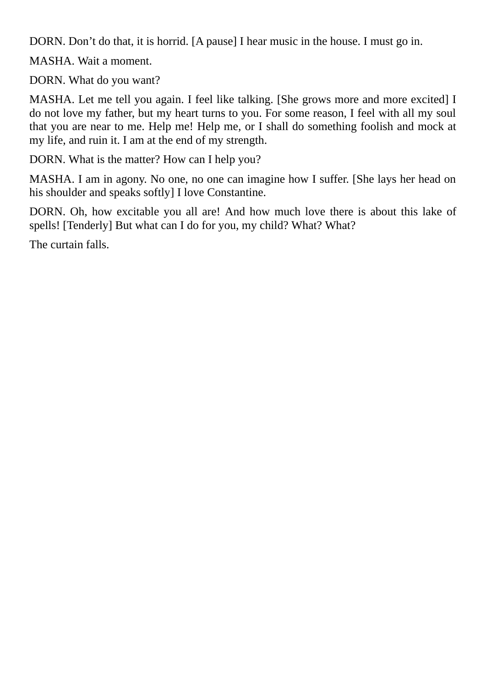DORN. Don't do that, it is horrid. [A pause] I hear music in the house. I must go in.

MASHA. Wait a moment.

DORN. What do you want?

MASHA. Let me tell you again. I feel like talking. [She grows more and more excited] I do not love my father, but my heart turns to you. For some reason, I feel with all my soul that you are near to me. Help me! Help me, or I shall do something foolish and mock at my life, and ruin it. I am at the end of my strength.

DORN. What is the matter? How can I help you?

MASHA. I am in agony. No one, no one can imagine how I suffer. [She lays her head on his shoulder and speaks softly] I love Constantine.

DORN. Oh, how excitable you all are! And how much love there is about this lake of spells! [Tenderly] But what can I do for you, my child? What? What?

<span id="page-16-0"></span>The curtain falls.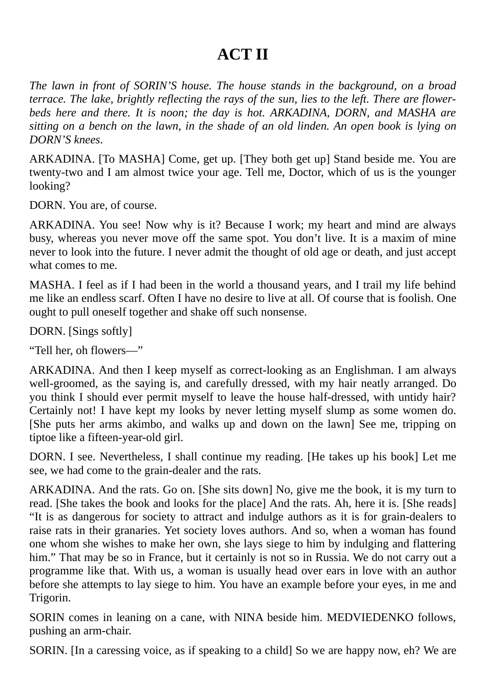#### **ACT II**

*The lawn in front of SORIN'S house. The house stands in the background, on a broad terrace. The lake, brightly reflecting the rays of the sun, lies to the left. There are flowerbeds here and there. It is noon; the day is hot. ARKADINA, DORN, and MASHA are* sitting on a bench on the lawn, in the shade of an old linden. An open book is lying on *DORN'S knees*.

ARKADINA. [To MASHA] Come, get up. [They both get up] Stand beside me. You are twenty-two and I am almost twice your age. Tell me, Doctor, which of us is the younger looking?

DORN. You are, of course.

ARKADINA. You see! Now why is it? Because I work; my heart and mind are always busy, whereas you never move off the same spot. You don't live. It is a maxim of mine never to look into the future. I never admit the thought of old age or death, and just accept what comes to me.

MASHA. I feel as if I had been in the world a thousand years, and I trail my life behind me like an endless scarf. Often I have no desire to live at all. Of course that is foolish. One ought to pull oneself together and shake off such nonsense.

DORN. [Sings softly]

"Tell her, oh flowers—"

ARKADINA. And then I keep myself as correct-looking as an Englishman. I am always well-groomed, as the saying is, and carefully dressed, with my hair neatly arranged. Do you think I should ever permit myself to leave the house half-dressed, with untidy hair? Certainly not! I have kept my looks by never letting myself slump as some women do. [She puts her arms akimbo, and walks up and down on the lawn] See me, tripping on tiptoe like a fifteen-year-old girl.

DORN. I see. Nevertheless, I shall continue my reading. [He takes up his book] Let me see, we had come to the grain-dealer and the rats.

ARKADINA. And the rats. Go on. [She sits down] No, give me the book, it is my turn to read. [She takes the book and looks for the place] And the rats. Ah, here it is. [She reads] "It is as dangerous for society to attract and indulge authors as it is for grain-dealers to raise rats in their granaries. Yet society loves authors. And so, when a woman has found one whom she wishes to make her own, she lays siege to him by indulging and flattering him." That may be so in France, but it certainly is not so in Russia. We do not carry out a programme like that. With us, a woman is usually head over ears in love with an author before she attempts to lay siege to him. You have an example before your eyes, in me and Trigorin.

SORIN comes in leaning on a cane, with NINA beside him. MEDVIEDENKO follows, pushing an arm-chair.

SORIN. [In a caressing voice, as if speaking to a child] So we are happy now, eh? We are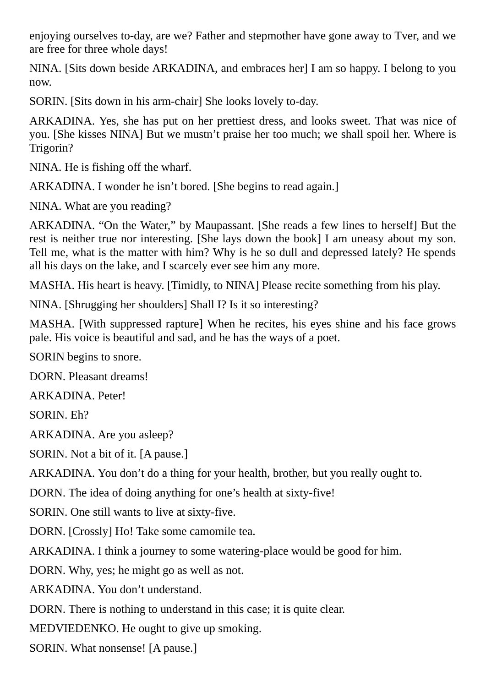enjoying ourselves to-day, are we? Father and stepmother have gone away to Tver, and we are free for three whole days!

NINA. [Sits down beside ARKADINA, and embraces her] I am so happy. I belong to you now.

SORIN. [Sits down in his arm-chair] She looks lovely to-day.

ARKADINA. Yes, she has put on her prettiest dress, and looks sweet. That was nice of you. [She kisses NINA] But we mustn't praise her too much; we shall spoil her. Where is Trigorin?

NINA. He is fishing off the wharf.

ARKADINA. I wonder he isn't bored. [She begins to read again.]

NINA. What are you reading?

ARKADINA. "On the Water," by Maupassant. [She reads a few lines to herself] But the rest is neither true nor interesting. [She lays down the book] I am uneasy about my son. Tell me, what is the matter with him? Why is he so dull and depressed lately? He spends all his days on the lake, and I scarcely ever see him any more.

MASHA. His heart is heavy. [Timidly, to NINA] Please recite something from his play.

NINA. [Shrugging her shoulders] Shall I? Is it so interesting?

MASHA. [With suppressed rapture] When he recites, his eyes shine and his face grows pale. His voice is beautiful and sad, and he has the ways of a poet.

SORIN begins to snore.

DORN. Pleasant dreams!

ARKADINA. Peter!

SORIN. Eh?

ARKADINA. Are you asleep?

SORIN. Not a bit of it. [A pause.]

ARKADINA. You don't do a thing for your health, brother, but you really ought to.

DORN. The idea of doing anything for one's health at sixty-five!

SORIN. One still wants to live at sixty-five.

DORN. [Crossly] Ho! Take some camomile tea.

ARKADINA. I think a journey to some watering-place would be good for him.

DORN. Why, yes; he might go as well as not.

ARKADINA. You don't understand.

DORN. There is nothing to understand in this case; it is quite clear.

MEDVIEDENKO. He ought to give up smoking.

SORIN. What nonsense! [A pause.]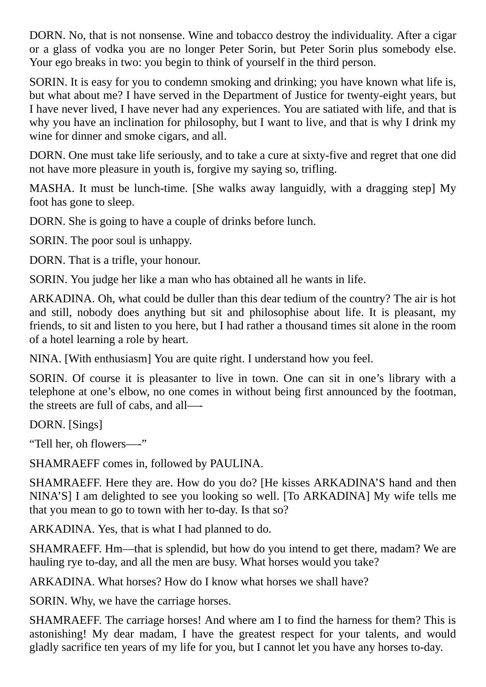DORN. No, that is not nonsense. Wine and tobacco destroy the individuality. After a cigar or a glass of vodka you are no longer Peter Sorin, but Peter Sorin plus somebody else. Your ego breaks in two: you begin to think of yourself in the third person.

SORIN. It is easy for you to condemn smoking and drinking; you have known what life is, but what about me? I have served in the Department of Justice for twenty-eight years, but I have never lived, I have never had any experiences. You are satiated with life, and that is why you have an inclination for philosophy, but I want to live, and that is why I drink my wine for dinner and smoke cigars, and all.

DORN. One must take life seriously, and to take a cure at sixty-five and regret that one did not have more pleasure in youth is, forgive my saying so, trifling.

MASHA. It must be lunch-time. [She walks away languidly, with a dragging step] My foot has gone to sleep.

DORN. She is going to have a couple of drinks before lunch.

SORIN. The poor soul is unhappy.

DORN. That is a trifle, your honour.

SORIN. You judge her like a man who has obtained all he wants in life.

ARKADINA. Oh, what could be duller than this dear tedium of the country? The air is hot and still, nobody does anything but sit and philosophise about life. It is pleasant, my friends, to sit and listen to you here, but I had rather a thousand times sit alone in the room of a hotel learning a role by heart.

NINA. [With enthusiasm] You are quite right. I understand how you feel.

SORIN. Of course it is pleasanter to live in town. One can sit in one's library with a telephone at one's elbow, no one comes in without being first announced by the footman, the streets are full of cabs, and all—-

DORN. [Sings]

"Tell her, oh flowers—-"

SHAMRAEFF comes in, followed by PAULINA.

SHAMRAEFF. Here they are. How do you do? [He kisses ARKADINA'S hand and then NINA'S] I am delighted to see you looking so well. [To ARKADINA] My wife tells me that you mean to go to town with her to-day. Is that so?

ARKADINA. Yes, that is what I had planned to do.

SHAMRAEFF. Hm—that is splendid, but how do you intend to get there, madam? We are hauling rye to-day, and all the men are busy. What horses would you take?

ARKADINA. What horses? How do I know what horses we shall have?

SORIN. Why, we have the carriage horses.

SHAMRAEFF. The carriage horses! And where am I to find the harness for them? This is astonishing! My dear madam, I have the greatest respect for your talents, and would gladly sacrifice ten years of my life for you, but I cannot let you have any horses to-day.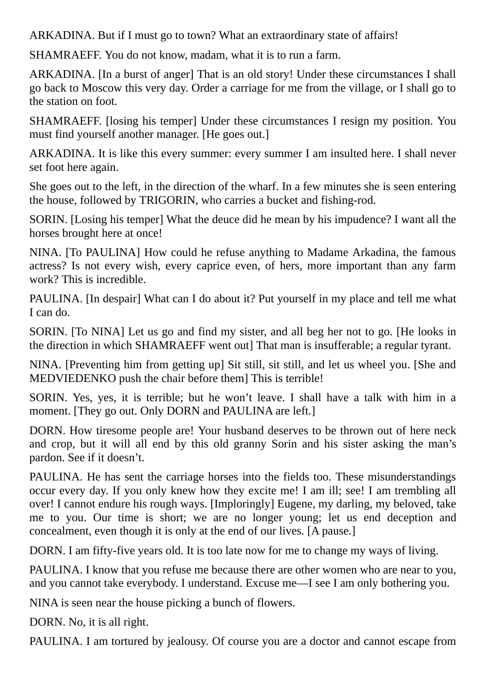ARKADINA. But if I must go to town? What an extraordinary state of affairs!

SHAMRAEFF. You do not know, madam, what it is to run a farm.

ARKADINA. [In a burst of anger] That is an old story! Under these circumstances I shall go back to Moscow this very day. Order a carriage for me from the village, or I shall go to the station on foot.

SHAMRAEFF. [losing his temper] Under these circumstances I resign my position. You must find yourself another manager. [He goes out.]

ARKADINA. It is like this every summer: every summer I am insulted here. I shall never set foot here again.

She goes out to the left, in the direction of the wharf. In a few minutes she is seen entering the house, followed by TRIGORIN, who carries a bucket and fishing-rod.

SORIN. [Losing his temper] What the deuce did he mean by his impudence? I want all the horses brought here at once!

NINA. [To PAULINA] How could he refuse anything to Madame Arkadina, the famous actress? Is not every wish, every caprice even, of hers, more important than any farm work? This is incredible.

PAULINA. [In despair] What can I do about it? Put yourself in my place and tell me what I can do.

SORIN. [To NINA] Let us go and find my sister, and all beg her not to go. [He looks in the direction in which SHAMRAEFF went out] That man is insufferable; a regular tyrant.

NINA. [Preventing him from getting up] Sit still, sit still, and let us wheel you. [She and MEDVIEDENKO push the chair before them] This is terrible!

SORIN. Yes, yes, it is terrible; but he won't leave. I shall have a talk with him in a moment. [They go out. Only DORN and PAULINA are left.]

DORN. How tiresome people are! Your husband deserves to be thrown out of here neck and crop, but it will all end by this old granny Sorin and his sister asking the man's pardon. See if it doesn't.

PAULINA. He has sent the carriage horses into the fields too. These misunderstandings occur every day. If you only knew how they excite me! I am ill; see! I am trembling all over! I cannot endure his rough ways. [Imploringly] Eugene, my darling, my beloved, take me to you. Our time is short; we are no longer young; let us end deception and concealment, even though it is only at the end of our lives. [A pause.]

DORN. I am fifty-five years old. It is too late now for me to change my ways of living.

PAULINA. I know that you refuse me because there are other women who are near to you, and you cannot take everybody. I understand. Excuse me—I see I am only bothering you.

NINA is seen near the house picking a bunch of flowers.

DORN. No, it is all right.

PAULINA. I am tortured by jealousy. Of course you are a doctor and cannot escape from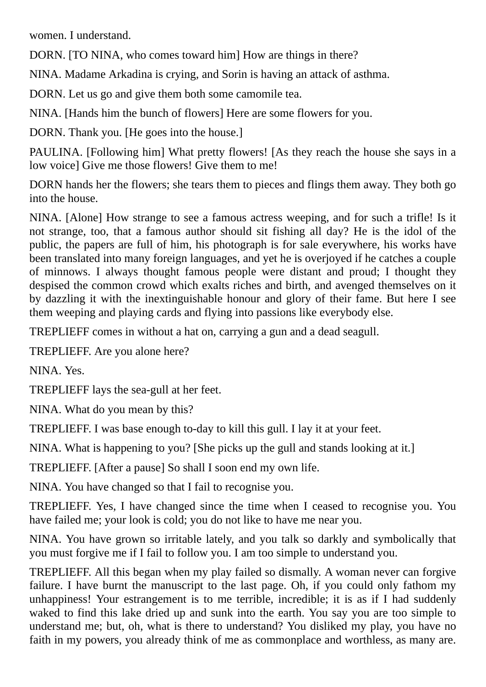women. I understand.

DORN. [TO NINA, who comes toward him] How are things in there?

NINA. Madame Arkadina is crying, and Sorin is having an attack of asthma.

DORN. Let us go and give them both some camomile tea.

NINA. [Hands him the bunch of flowers] Here are some flowers for you.

DORN. Thank you. [He goes into the house.]

PAULINA. [Following him] What pretty flowers! [As they reach the house she says in a low voice] Give me those flowers! Give them to me!

DORN hands her the flowers; she tears them to pieces and flings them away. They both go into the house.

NINA. [Alone] How strange to see a famous actress weeping, and for such a trifle! Is it not strange, too, that a famous author should sit fishing all day? He is the idol of the public, the papers are full of him, his photograph is for sale everywhere, his works have been translated into many foreign languages, and yet he is overjoyed if he catches a couple of minnows. I always thought famous people were distant and proud; I thought they despised the common crowd which exalts riches and birth, and avenged themselves on it by dazzling it with the inextinguishable honour and glory of their fame. But here I see them weeping and playing cards and flying into passions like everybody else.

TREPLIEFF comes in without a hat on, carrying a gun and a dead seagull.

TREPLIEFF. Are you alone here?

NINA. Yes.

TREPLIEFF lays the sea-gull at her feet.

NINA. What do you mean by this?

TREPLIEFF. I was base enough to-day to kill this gull. I lay it at your feet.

NINA. What is happening to you? [She picks up the gull and stands looking at it.]

TREPLIEFF. [After a pause] So shall I soon end my own life.

NINA. You have changed so that I fail to recognise you.

TREPLIEFF. Yes, I have changed since the time when I ceased to recognise you. You have failed me; your look is cold; you do not like to have me near you.

NINA. You have grown so irritable lately, and you talk so darkly and symbolically that you must forgive me if I fail to follow you. I am too simple to understand you.

TREPLIEFF. All this began when my play failed so dismally. A woman never can forgive failure. I have burnt the manuscript to the last page. Oh, if you could only fathom my unhappiness! Your estrangement is to me terrible, incredible; it is as if I had suddenly waked to find this lake dried up and sunk into the earth. You say you are too simple to understand me; but, oh, what is there to understand? You disliked my play, you have no faith in my powers, you already think of me as commonplace and worthless, as many are.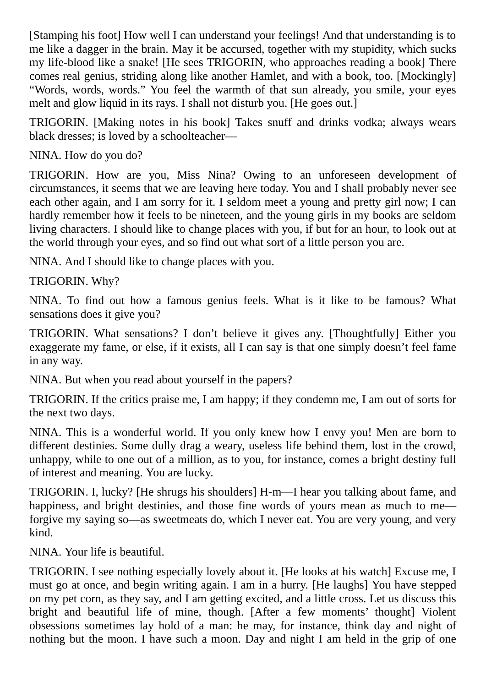[Stamping his foot] How well I can understand your feelings! And that understanding is to me like a dagger in the brain. May it be accursed, together with my stupidity, which sucks my life-blood like a snake! [He sees TRIGORIN, who approaches reading a book] There comes real genius, striding along like another Hamlet, and with a book, too. [Mockingly] "Words, words, words." You feel the warmth of that sun already, you smile, your eyes melt and glow liquid in its rays. I shall not disturb you. [He goes out.]

TRIGORIN. [Making notes in his book] Takes snuff and drinks vodka; always wears black dresses; is loved by a schoolteacher—

NINA. How do you do?

TRIGORIN. How are you, Miss Nina? Owing to an unforeseen development of circumstances, it seems that we are leaving here today. You and I shall probably never see each other again, and I am sorry for it. I seldom meet a young and pretty girl now; I can hardly remember how it feels to be nineteen, and the young girls in my books are seldom living characters. I should like to change places with you, if but for an hour, to look out at the world through your eyes, and so find out what sort of a little person you are.

NINA. And I should like to change places with you.

TRIGORIN. Why?

NINA. To find out how a famous genius feels. What is it like to be famous? What sensations does it give you?

TRIGORIN. What sensations? I don't believe it gives any. [Thoughtfully] Either you exaggerate my fame, or else, if it exists, all I can say is that one simply doesn't feel fame in any way.

NINA. But when you read about yourself in the papers?

TRIGORIN. If the critics praise me, I am happy; if they condemn me, I am out of sorts for the next two days.

NINA. This is a wonderful world. If you only knew how I envy you! Men are born to different destinies. Some dully drag a weary, useless life behind them, lost in the crowd, unhappy, while to one out of a million, as to you, for instance, comes a bright destiny full of interest and meaning. You are lucky.

TRIGORIN. I, lucky? [He shrugs his shoulders] H-m—I hear you talking about fame, and happiness, and bright destinies, and those fine words of yours mean as much to me forgive my saying so—as sweetmeats do, which I never eat. You are very young, and very kind.

NINA. Your life is beautiful.

TRIGORIN. I see nothing especially lovely about it. [He looks at his watch] Excuse me, I must go at once, and begin writing again. I am in a hurry. [He laughs] You have stepped on my pet corn, as they say, and I am getting excited, and a little cross. Let us discuss this bright and beautiful life of mine, though. [After a few moments' thought] Violent obsessions sometimes lay hold of a man: he may, for instance, think day and night of nothing but the moon. I have such a moon. Day and night I am held in the grip of one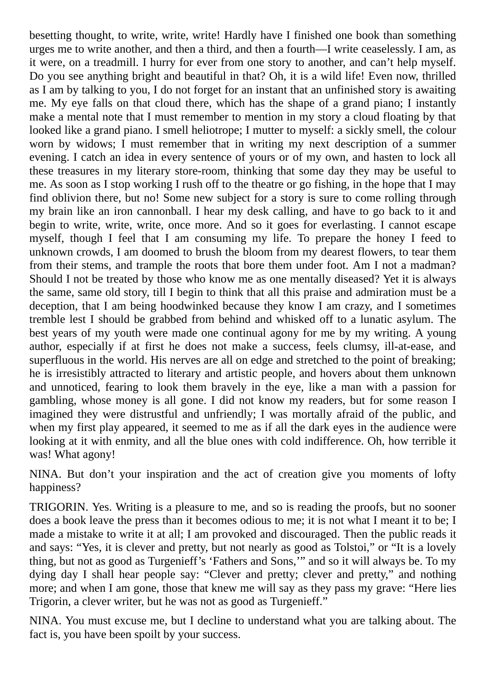besetting thought, to write, write, write! Hardly have I finished one book than something urges me to write another, and then a third, and then a fourth—I write ceaselessly. I am, as it were, on a treadmill. I hurry for ever from one story to another, and can't help myself. Do you see anything bright and beautiful in that? Oh, it is a wild life! Even now, thrilled as I am by talking to you, I do not forget for an instant that an unfinished story is awaiting me. My eye falls on that cloud there, which has the shape of a grand piano; I instantly make a mental note that I must remember to mention in my story a cloud floating by that looked like a grand piano. I smell heliotrope; I mutter to myself: a sickly smell, the colour worn by widows; I must remember that in writing my next description of a summer evening. I catch an idea in every sentence of yours or of my own, and hasten to lock all these treasures in my literary store-room, thinking that some day they may be useful to me. As soon as I stop working I rush off to the theatre or go fishing, in the hope that I may find oblivion there, but no! Some new subject for a story is sure to come rolling through my brain like an iron cannonball. I hear my desk calling, and have to go back to it and begin to write, write, write, once more. And so it goes for everlasting. I cannot escape myself, though I feel that I am consuming my life. To prepare the honey I feed to unknown crowds, I am doomed to brush the bloom from my dearest flowers, to tear them from their stems, and trample the roots that bore them under foot. Am I not a madman? Should I not be treated by those who know me as one mentally diseased? Yet it is always the same, same old story, till I begin to think that all this praise and admiration must be a deception, that I am being hoodwinked because they know I am crazy, and I sometimes tremble lest I should be grabbed from behind and whisked off to a lunatic asylum. The best years of my youth were made one continual agony for me by my writing. A young author, especially if at first he does not make a success, feels clumsy, ill-at-ease, and superfluous in the world. His nerves are all on edge and stretched to the point of breaking; he is irresistibly attracted to literary and artistic people, and hovers about them unknown and unnoticed, fearing to look them bravely in the eye, like a man with a passion for gambling, whose money is all gone. I did not know my readers, but for some reason I imagined they were distrustful and unfriendly; I was mortally afraid of the public, and when my first play appeared, it seemed to me as if all the dark eyes in the audience were looking at it with enmity, and all the blue ones with cold indifference. Oh, how terrible it was! What agony!

NINA. But don't your inspiration and the act of creation give you moments of lofty happiness?

TRIGORIN. Yes. Writing is a pleasure to me, and so is reading the proofs, but no sooner does a book leave the press than it becomes odious to me; it is not what I meant it to be; I made a mistake to write it at all; I am provoked and discouraged. Then the public reads it and says: "Yes, it is clever and pretty, but not nearly as good as Tolstoi," or "It is a lovely thing, but not as good as Turgenieff's 'Fathers and Sons,'" and so it will always be. To my dying day I shall hear people say: "Clever and pretty; clever and pretty," and nothing more; and when I am gone, those that knew me will say as they pass my grave: "Here lies Trigorin, a clever writer, but he was not as good as Turgenieff."

NINA. You must excuse me, but I decline to understand what you are talking about. The fact is, you have been spoilt by your success.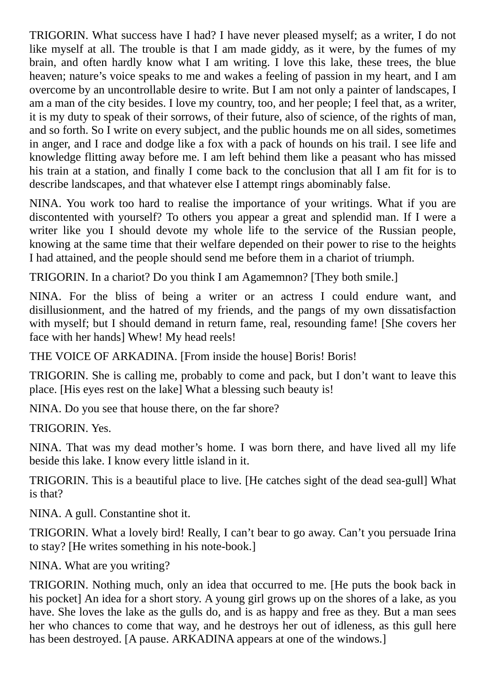TRIGORIN. What success have I had? I have never pleased myself; as a writer, I do not like myself at all. The trouble is that I am made giddy, as it were, by the fumes of my brain, and often hardly know what I am writing. I love this lake, these trees, the blue heaven; nature's voice speaks to me and wakes a feeling of passion in my heart, and I am overcome by an uncontrollable desire to write. But I am not only a painter of landscapes, I am a man of the city besides. I love my country, too, and her people; I feel that, as a writer, it is my duty to speak of their sorrows, of their future, also of science, of the rights of man, and so forth. So I write on every subject, and the public hounds me on all sides, sometimes in anger, and I race and dodge like a fox with a pack of hounds on his trail. I see life and knowledge flitting away before me. I am left behind them like a peasant who has missed his train at a station, and finally I come back to the conclusion that all I am fit for is to describe landscapes, and that whatever else I attempt rings abominably false.

NINA. You work too hard to realise the importance of your writings. What if you are discontented with yourself? To others you appear a great and splendid man. If I were a writer like you I should devote my whole life to the service of the Russian people, knowing at the same time that their welfare depended on their power to rise to the heights I had attained, and the people should send me before them in a chariot of triumph.

TRIGORIN. In a chariot? Do you think I am Agamemnon? [They both smile.]

NINA. For the bliss of being a writer or an actress I could endure want, and disillusionment, and the hatred of my friends, and the pangs of my own dissatisfaction with myself; but I should demand in return fame, real, resounding fame! [She covers her face with her hands] Whew! My head reels!

THE VOICE OF ARKADINA. [From inside the house] Boris! Boris!

TRIGORIN. She is calling me, probably to come and pack, but I don't want to leave this place. [His eyes rest on the lake] What a blessing such beauty is!

NINA. Do you see that house there, on the far shore?

TRIGORIN. Yes.

NINA. That was my dead mother's home. I was born there, and have lived all my life beside this lake. I know every little island in it.

TRIGORIN. This is a beautiful place to live. [He catches sight of the dead sea-gull] What is that?

NINA. A gull. Constantine shot it.

TRIGORIN. What a lovely bird! Really, I can't bear to go away. Can't you persuade Irina to stay? [He writes something in his note-book.]

NINA. What are you writing?

TRIGORIN. Nothing much, only an idea that occurred to me. [He puts the book back in his pocket] An idea for a short story. A young girl grows up on the shores of a lake, as you have. She loves the lake as the gulls do, and is as happy and free as they. But a man sees her who chances to come that way, and he destroys her out of idleness, as this gull here has been destroyed. [A pause. ARKADINA appears at one of the windows.]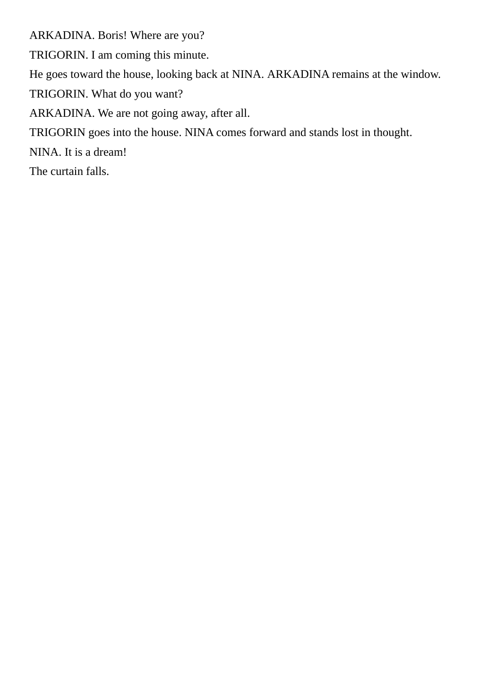<span id="page-25-0"></span>ARKADINA. Boris! Where are you? TRIGORIN. I am coming this minute. He goes toward the house, looking back at NINA. ARKADINA remains at the window. TRIGORIN. What do you want? ARKADINA. We are not going away, after all. TRIGORIN goes into the house. NINA comes forward and stands lost in thought. NINA. It is a dream! The curtain falls.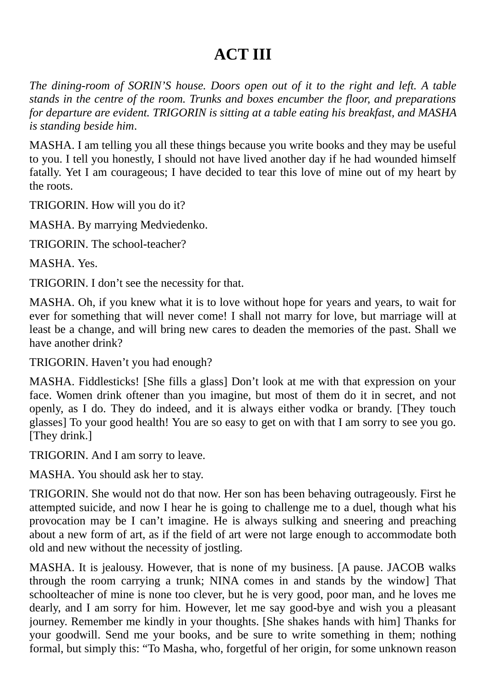#### **ACT III**

*The dining-room of SORIN'S house. Doors open out of it to the right and left. A table stands in the centre of the room. Trunks and boxes encumber the floor, and preparations for departure are evident. TRIGORIN is sitting at a table eating his breakfast, and MASHA is standing beside him*.

MASHA. I am telling you all these things because you write books and they may be useful to you. I tell you honestly, I should not have lived another day if he had wounded himself fatally. Yet I am courageous; I have decided to tear this love of mine out of my heart by the roots.

TRIGORIN. How will you do it?

MASHA. By marrying Medviedenko.

TRIGORIN. The school-teacher?

MASHA. Yes.

TRIGORIN. I don't see the necessity for that.

MASHA. Oh, if you knew what it is to love without hope for years and years, to wait for ever for something that will never come! I shall not marry for love, but marriage will at least be a change, and will bring new cares to deaden the memories of the past. Shall we have another drink?

TRIGORIN. Haven't you had enough?

MASHA. Fiddlesticks! [She fills a glass] Don't look at me with that expression on your face. Women drink oftener than you imagine, but most of them do it in secret, and not openly, as I do. They do indeed, and it is always either vodka or brandy. [They touch glasses] To your good health! You are so easy to get on with that I am sorry to see you go. [They drink.]

TRIGORIN. And I am sorry to leave.

MASHA. You should ask her to stay.

TRIGORIN. She would not do that now. Her son has been behaving outrageously. First he attempted suicide, and now I hear he is going to challenge me to a duel, though what his provocation may be I can't imagine. He is always sulking and sneering and preaching about a new form of art, as if the field of art were not large enough to accommodate both old and new without the necessity of jostling.

MASHA. It is jealousy. However, that is none of my business. [A pause. JACOB walks through the room carrying a trunk; NINA comes in and stands by the window] That schoolteacher of mine is none too clever, but he is very good, poor man, and he loves me dearly, and I am sorry for him. However, let me say good-bye and wish you a pleasant journey. Remember me kindly in your thoughts. [She shakes hands with him] Thanks for your goodwill. Send me your books, and be sure to write something in them; nothing formal, but simply this: "To Masha, who, forgetful of her origin, for some unknown reason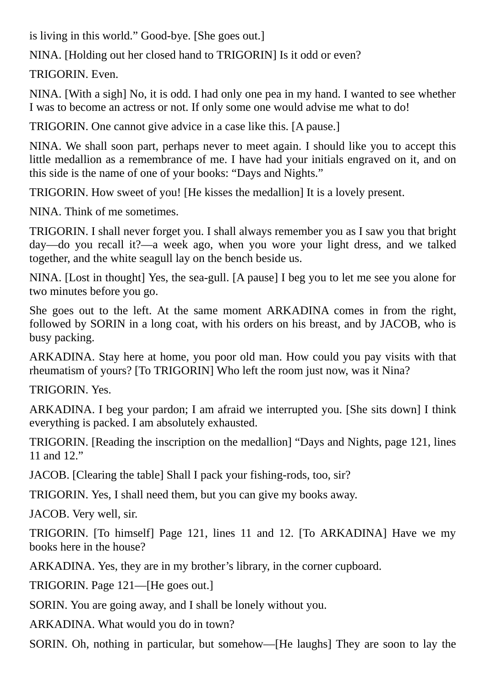is living in this world." Good-bye. [She goes out.]

NINA. [Holding out her closed hand to TRIGORIN] Is it odd or even?

TRIGORIN. Even.

NINA. [With a sigh] No, it is odd. I had only one pea in my hand. I wanted to see whether I was to become an actress or not. If only some one would advise me what to do!

TRIGORIN. One cannot give advice in a case like this. [A pause.]

NINA. We shall soon part, perhaps never to meet again. I should like you to accept this little medallion as a remembrance of me. I have had your initials engraved on it, and on this side is the name of one of your books: "Days and Nights."

TRIGORIN. How sweet of you! [He kisses the medallion] It is a lovely present.

NINA. Think of me sometimes.

TRIGORIN. I shall never forget you. I shall always remember you as I saw you that bright day—do you recall it?—a week ago, when you wore your light dress, and we talked together, and the white seagull lay on the bench beside us.

NINA. [Lost in thought] Yes, the sea-gull. [A pause] I beg you to let me see you alone for two minutes before you go.

She goes out to the left. At the same moment ARKADINA comes in from the right, followed by SORIN in a long coat, with his orders on his breast, and by JACOB, who is busy packing.

ARKADINA. Stay here at home, you poor old man. How could you pay visits with that rheumatism of yours? [To TRIGORIN] Who left the room just now, was it Nina?

TRIGORIN. Yes.

ARKADINA. I beg your pardon; I am afraid we interrupted you. [She sits down] I think everything is packed. I am absolutely exhausted.

TRIGORIN. [Reading the inscription on the medallion] "Days and Nights, page 121, lines 11 and 12."

JACOB. [Clearing the table] Shall I pack your fishing-rods, too, sir?

TRIGORIN. Yes, I shall need them, but you can give my books away.

JACOB. Very well, sir.

TRIGORIN. [To himself] Page 121, lines 11 and 12. [To ARKADINA] Have we my books here in the house?

ARKADINA. Yes, they are in my brother's library, in the corner cupboard.

TRIGORIN. Page 121—[He goes out.]

SORIN. You are going away, and I shall be lonely without you.

ARKADINA. What would you do in town?

SORIN. Oh, nothing in particular, but somehow—[He laughs] They are soon to lay the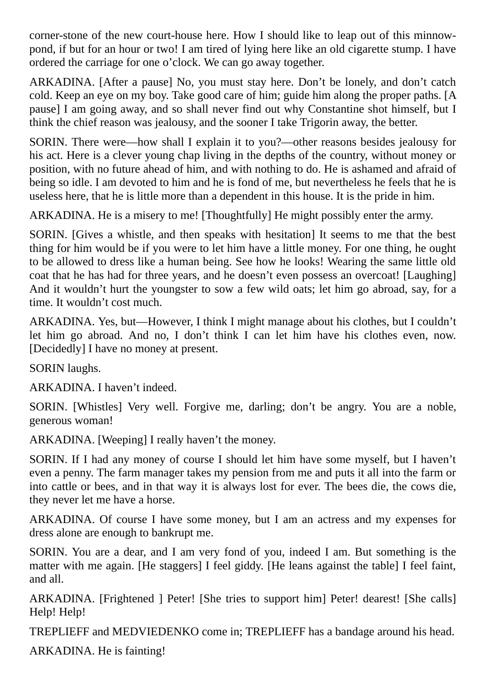corner-stone of the new court-house here. How I should like to leap out of this minnowpond, if but for an hour or two! I am tired of lying here like an old cigarette stump. I have ordered the carriage for one o'clock. We can go away together.

ARKADINA. [After a pause] No, you must stay here. Don't be lonely, and don't catch cold. Keep an eye on my boy. Take good care of him; guide him along the proper paths. [A pause] I am going away, and so shall never find out why Constantine shot himself, but I think the chief reason was jealousy, and the sooner I take Trigorin away, the better.

SORIN. There were—how shall I explain it to you?—other reasons besides jealousy for his act. Here is a clever young chap living in the depths of the country, without money or position, with no future ahead of him, and with nothing to do. He is ashamed and afraid of being so idle. I am devoted to him and he is fond of me, but nevertheless he feels that he is useless here, that he is little more than a dependent in this house. It is the pride in him.

ARKADINA. He is a misery to me! [Thoughtfully] He might possibly enter the army.

SORIN. [Gives a whistle, and then speaks with hesitation] It seems to me that the best thing for him would be if you were to let him have a little money. For one thing, he ought to be allowed to dress like a human being. See how he looks! Wearing the same little old coat that he has had for three years, and he doesn't even possess an overcoat! [Laughing] And it wouldn't hurt the youngster to sow a few wild oats; let him go abroad, say, for a time. It wouldn't cost much.

ARKADINA. Yes, but—However, I think I might manage about his clothes, but I couldn't let him go abroad. And no, I don't think I can let him have his clothes even, now. [Decidedly] I have no money at present.

SORIN laughs.

ARKADINA. I haven't indeed.

SORIN. [Whistles] Very well. Forgive me, darling; don't be angry. You are a noble, generous woman!

ARKADINA. [Weeping] I really haven't the money.

SORIN. If I had any money of course I should let him have some myself, but I haven't even a penny. The farm manager takes my pension from me and puts it all into the farm or into cattle or bees, and in that way it is always lost for ever. The bees die, the cows die, they never let me have a horse.

ARKADINA. Of course I have some money, but I am an actress and my expenses for dress alone are enough to bankrupt me.

SORIN. You are a dear, and I am very fond of you, indeed I am. But something is the matter with me again. [He staggers] I feel giddy. [He leans against the table] I feel faint, and all.

ARKADINA. [Frightened ] Peter! [She tries to support him] Peter! dearest! [She calls] Help! Help!

TREPLIEFF and MEDVIEDENKO come in; TREPLIEFF has a bandage around his head.

ARKADINA. He is fainting!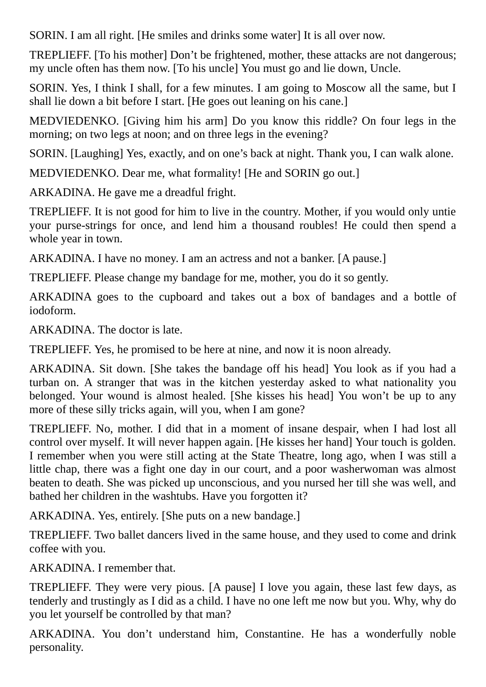SORIN. I am all right. [He smiles and drinks some water] It is all over now.

TREPLIEFF. [To his mother] Don't be frightened, mother, these attacks are not dangerous; my uncle often has them now. [To his uncle] You must go and lie down, Uncle.

SORIN. Yes, I think I shall, for a few minutes. I am going to Moscow all the same, but I shall lie down a bit before I start. [He goes out leaning on his cane.]

MEDVIEDENKO. [Giving him his arm] Do you know this riddle? On four legs in the morning; on two legs at noon; and on three legs in the evening?

SORIN. [Laughing] Yes, exactly, and on one's back at night. Thank you, I can walk alone.

MEDVIEDENKO. Dear me, what formality! [He and SORIN go out.]

ARKADINA. He gave me a dreadful fright.

TREPLIEFF. It is not good for him to live in the country. Mother, if you would only untie your purse-strings for once, and lend him a thousand roubles! He could then spend a whole year in town.

ARKADINA. I have no money. I am an actress and not a banker. [A pause.]

TREPLIEFF. Please change my bandage for me, mother, you do it so gently.

ARKADINA goes to the cupboard and takes out a box of bandages and a bottle of iodoform.

ARKADINA. The doctor is late.

TREPLIEFF. Yes, he promised to be here at nine, and now it is noon already.

ARKADINA. Sit down. [She takes the bandage off his head] You look as if you had a turban on. A stranger that was in the kitchen yesterday asked to what nationality you belonged. Your wound is almost healed. [She kisses his head] You won't be up to any more of these silly tricks again, will you, when I am gone?

TREPLIEFF. No, mother. I did that in a moment of insane despair, when I had lost all control over myself. It will never happen again. [He kisses her hand] Your touch is golden. I remember when you were still acting at the State Theatre, long ago, when I was still a little chap, there was a fight one day in our court, and a poor washerwoman was almost beaten to death. She was picked up unconscious, and you nursed her till she was well, and bathed her children in the washtubs. Have you forgotten it?

ARKADINA. Yes, entirely. [She puts on a new bandage.]

TREPLIEFF. Two ballet dancers lived in the same house, and they used to come and drink coffee with you.

ARKADINA. I remember that.

TREPLIEFF. They were very pious. [A pause] I love you again, these last few days, as tenderly and trustingly as I did as a child. I have no one left me now but you. Why, why do you let yourself be controlled by that man?

ARKADINA. You don't understand him, Constantine. He has a wonderfully noble personality.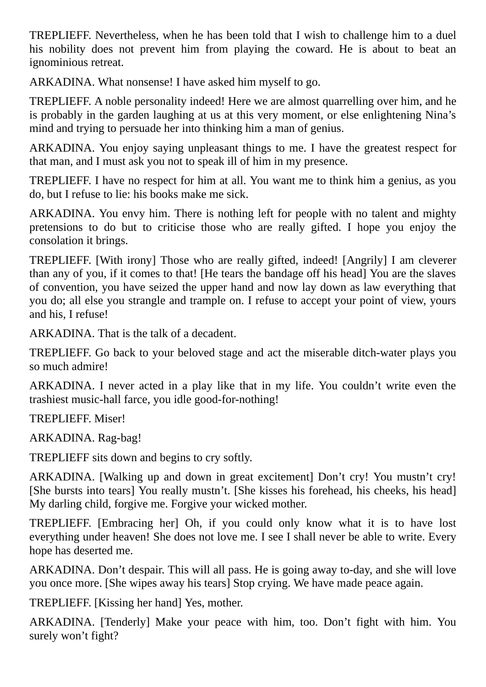TREPLIEFF. Nevertheless, when he has been told that I wish to challenge him to a duel his nobility does not prevent him from playing the coward. He is about to beat an ignominious retreat.

ARKADINA. What nonsense! I have asked him myself to go.

TREPLIEFF. A noble personality indeed! Here we are almost quarrelling over him, and he is probably in the garden laughing at us at this very moment, or else enlightening Nina's mind and trying to persuade her into thinking him a man of genius.

ARKADINA. You enjoy saying unpleasant things to me. I have the greatest respect for that man, and I must ask you not to speak ill of him in my presence.

TREPLIEFF. I have no respect for him at all. You want me to think him a genius, as you do, but I refuse to lie: his books make me sick.

ARKADINA. You envy him. There is nothing left for people with no talent and mighty pretensions to do but to criticise those who are really gifted. I hope you enjoy the consolation it brings.

TREPLIEFF. [With irony] Those who are really gifted, indeed! [Angrily] I am cleverer than any of you, if it comes to that! [He tears the bandage off his head] You are the slaves of convention, you have seized the upper hand and now lay down as law everything that you do; all else you strangle and trample on. I refuse to accept your point of view, yours and his, I refuse!

ARKADINA. That is the talk of a decadent.

TREPLIEFF. Go back to your beloved stage and act the miserable ditch-water plays you so much admire!

ARKADINA. I never acted in a play like that in my life. You couldn't write even the trashiest music-hall farce, you idle good-for-nothing!

TREPLIEFF. Miser!

ARKADINA. Rag-bag!

TREPLIEFF sits down and begins to cry softly.

ARKADINA. [Walking up and down in great excitement] Don't cry! You mustn't cry! [She bursts into tears] You really mustn't. [She kisses his forehead, his cheeks, his head] My darling child, forgive me. Forgive your wicked mother.

TREPLIEFF. [Embracing her] Oh, if you could only know what it is to have lost everything under heaven! She does not love me. I see I shall never be able to write. Every hope has deserted me.

ARKADINA. Don't despair. This will all pass. He is going away to-day, and she will love you once more. [She wipes away his tears] Stop crying. We have made peace again.

TREPLIEFF. [Kissing her hand] Yes, mother.

ARKADINA. [Tenderly] Make your peace with him, too. Don't fight with him. You surely won't fight?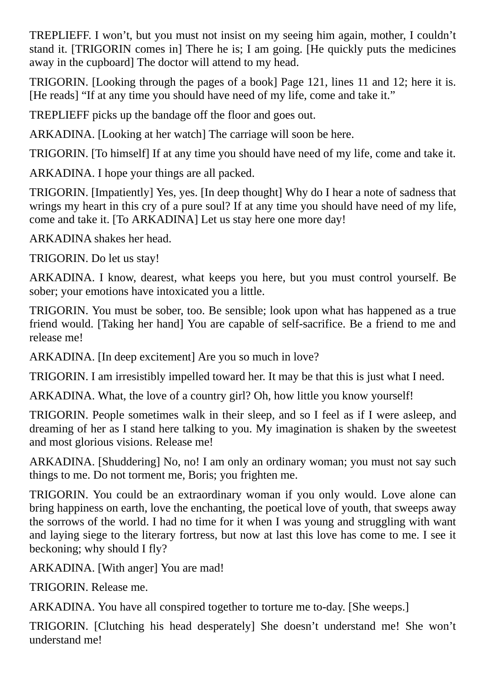TREPLIEFF. I won't, but you must not insist on my seeing him again, mother, I couldn't stand it. [TRIGORIN comes in] There he is; I am going. [He quickly puts the medicines away in the cupboard] The doctor will attend to my head.

TRIGORIN. [Looking through the pages of a book] Page 121, lines 11 and 12; here it is. [He reads] "If at any time you should have need of my life, come and take it."

TREPLIEFF picks up the bandage off the floor and goes out.

ARKADINA. [Looking at her watch] The carriage will soon be here.

TRIGORIN. [To himself] If at any time you should have need of my life, come and take it.

ARKADINA. I hope your things are all packed.

TRIGORIN. [Impatiently] Yes, yes. [In deep thought] Why do I hear a note of sadness that wrings my heart in this cry of a pure soul? If at any time you should have need of my life, come and take it. [To ARKADINA] Let us stay here one more day!

ARKADINA shakes her head.

TRIGORIN. Do let us stay!

ARKADINA. I know, dearest, what keeps you here, but you must control yourself. Be sober; your emotions have intoxicated you a little.

TRIGORIN. You must be sober, too. Be sensible; look upon what has happened as a true friend would. [Taking her hand] You are capable of self-sacrifice. Be a friend to me and release me!

ARKADINA. [In deep excitement] Are you so much in love?

TRIGORIN. I am irresistibly impelled toward her. It may be that this is just what I need.

ARKADINA. What, the love of a country girl? Oh, how little you know yourself!

TRIGORIN. People sometimes walk in their sleep, and so I feel as if I were asleep, and dreaming of her as I stand here talking to you. My imagination is shaken by the sweetest and most glorious visions. Release me!

ARKADINA. [Shuddering] No, no! I am only an ordinary woman; you must not say such things to me. Do not torment me, Boris; you frighten me.

TRIGORIN. You could be an extraordinary woman if you only would. Love alone can bring happiness on earth, love the enchanting, the poetical love of youth, that sweeps away the sorrows of the world. I had no time for it when I was young and struggling with want and laying siege to the literary fortress, but now at last this love has come to me. I see it beckoning; why should I fly?

ARKADINA. [With anger] You are mad!

TRIGORIN. Release me.

ARKADINA. You have all conspired together to torture me to-day. [She weeps.]

TRIGORIN. [Clutching his head desperately] She doesn't understand me! She won't understand me!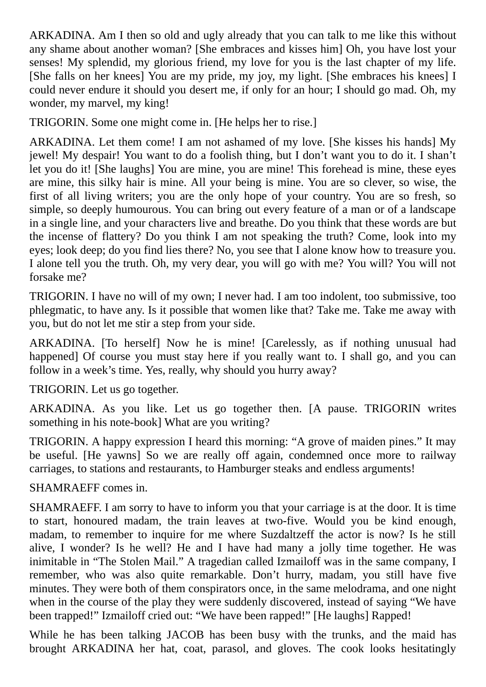ARKADINA. Am I then so old and ugly already that you can talk to me like this without any shame about another woman? [She embraces and kisses him] Oh, you have lost your senses! My splendid, my glorious friend, my love for you is the last chapter of my life. [She falls on her knees] You are my pride, my joy, my light. [She embraces his knees] I could never endure it should you desert me, if only for an hour; I should go mad. Oh, my wonder, my marvel, my king!

TRIGORIN. Some one might come in. [He helps her to rise.]

ARKADINA. Let them come! I am not ashamed of my love. [She kisses his hands] My jewel! My despair! You want to do a foolish thing, but I don't want you to do it. I shan't let you do it! [She laughs] You are mine, you are mine! This forehead is mine, these eyes are mine, this silky hair is mine. All your being is mine. You are so clever, so wise, the first of all living writers; you are the only hope of your country. You are so fresh, so simple, so deeply humourous. You can bring out every feature of a man or of a landscape in a single line, and your characters live and breathe. Do you think that these words are but the incense of flattery? Do you think I am not speaking the truth? Come, look into my eyes; look deep; do you find lies there? No, you see that I alone know how to treasure you. I alone tell you the truth. Oh, my very dear, you will go with me? You will? You will not forsake me?

TRIGORIN. I have no will of my own; I never had. I am too indolent, too submissive, too phlegmatic, to have any. Is it possible that women like that? Take me. Take me away with you, but do not let me stir a step from your side.

ARKADINA. [To herself] Now he is mine! [Carelessly, as if nothing unusual had happened] Of course you must stay here if you really want to. I shall go, and you can follow in a week's time. Yes, really, why should you hurry away?

TRIGORIN. Let us go together.

ARKADINA. As you like. Let us go together then. [A pause. TRIGORIN writes something in his note-book] What are you writing?

TRIGORIN. A happy expression I heard this morning: "A grove of maiden pines." It may be useful. [He yawns] So we are really off again, condemned once more to railway carriages, to stations and restaurants, to Hamburger steaks and endless arguments!

SHAMRAEFF comes in.

SHAMRAEFF. I am sorry to have to inform you that your carriage is at the door. It is time to start, honoured madam, the train leaves at two-five. Would you be kind enough, madam, to remember to inquire for me where Suzdaltzeff the actor is now? Is he still alive, I wonder? Is he well? He and I have had many a jolly time together. He was inimitable in "The Stolen Mail." A tragedian called Izmailoff was in the same company, I remember, who was also quite remarkable. Don't hurry, madam, you still have five minutes. They were both of them conspirators once, in the same melodrama, and one night when in the course of the play they were suddenly discovered, instead of saying "We have been trapped!" Izmailoff cried out: "We have been rapped!" [He laughs] Rapped!

While he has been talking JACOB has been busy with the trunks, and the maid has brought ARKADINA her hat, coat, parasol, and gloves. The cook looks hesitatingly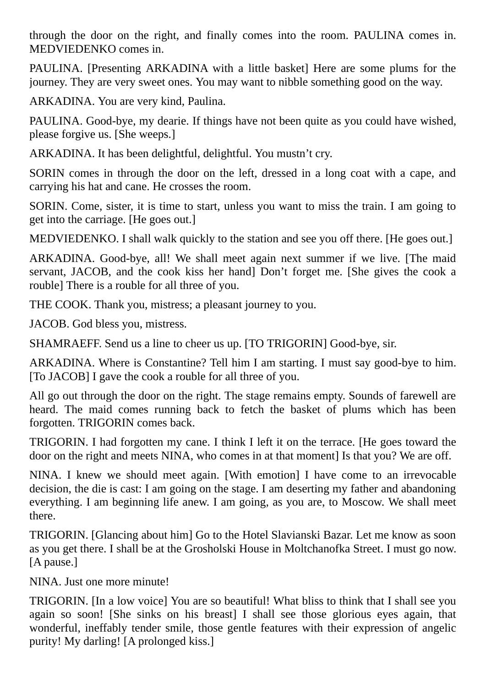through the door on the right, and finally comes into the room. PAULINA comes in. MEDVIEDENKO comes in.

PAULINA. [Presenting ARKADINA with a little basket] Here are some plums for the journey. They are very sweet ones. You may want to nibble something good on the way.

ARKADINA. You are very kind, Paulina.

PAULINA. Good-bye, my dearie. If things have not been quite as you could have wished, please forgive us. [She weeps.]

ARKADINA. It has been delightful, delightful. You mustn't cry.

SORIN comes in through the door on the left, dressed in a long coat with a cape, and carrying his hat and cane. He crosses the room.

SORIN. Come, sister, it is time to start, unless you want to miss the train. I am going to get into the carriage. [He goes out.]

MEDVIEDENKO. I shall walk quickly to the station and see you off there. [He goes out.]

ARKADINA. Good-bye, all! We shall meet again next summer if we live. [The maid servant, JACOB, and the cook kiss her hand] Don't forget me. [She gives the cook a rouble] There is a rouble for all three of you.

THE COOK. Thank you, mistress; a pleasant journey to you.

JACOB. God bless you, mistress.

SHAMRAEFF. Send us a line to cheer us up. [TO TRIGORIN] Good-bye, sir.

ARKADINA. Where is Constantine? Tell him I am starting. I must say good-bye to him. [To JACOB] I gave the cook a rouble for all three of you.

All go out through the door on the right. The stage remains empty. Sounds of farewell are heard. The maid comes running back to fetch the basket of plums which has been forgotten. TRIGORIN comes back.

TRIGORIN. I had forgotten my cane. I think I left it on the terrace. [He goes toward the door on the right and meets NINA, who comes in at that moment] Is that you? We are off.

NINA. I knew we should meet again. [With emotion] I have come to an irrevocable decision, the die is cast: I am going on the stage. I am deserting my father and abandoning everything. I am beginning life anew. I am going, as you are, to Moscow. We shall meet there.

TRIGORIN. [Glancing about him] Go to the Hotel Slavianski Bazar. Let me know as soon as you get there. I shall be at the Grosholski House in Moltchanofka Street. I must go now. [A pause.]

NINA. Just one more minute!

TRIGORIN. [In a low voice] You are so beautiful! What bliss to think that I shall see you again so soon! [She sinks on his breast] I shall see those glorious eyes again, that wonderful, ineffably tender smile, those gentle features with their expression of angelic purity! My darling! [A prolonged kiss.]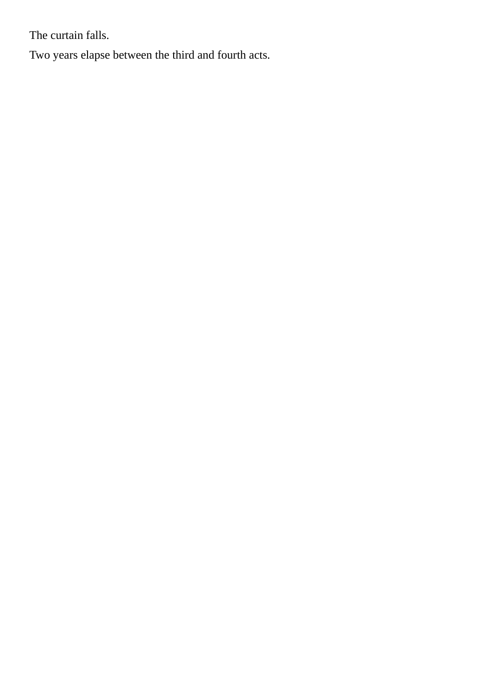The curtain falls.

Two years elapse between the third and fourth acts.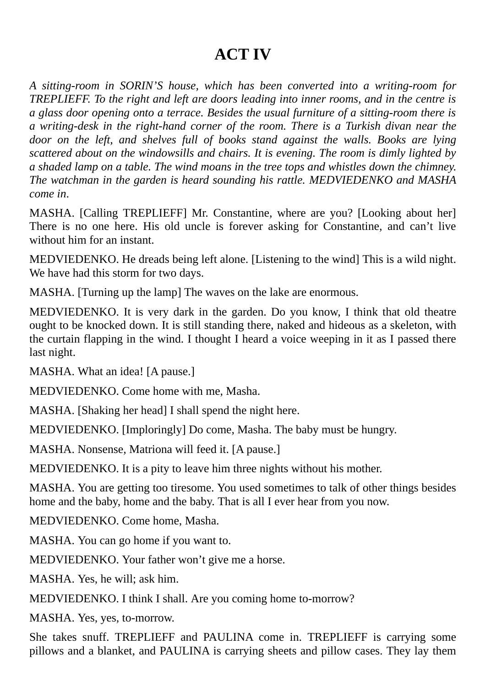#### **ACT IV**

*A sitting-room in SORIN'S house, which has been converted into a writing-room for TREPLIEFF. To the right and left are doors leading into inner rooms, and in the centre is a glass door opening onto a terrace. Besides the usual furniture of a sitting-room there is a writing-desk in the right-hand corner of the room. There is a Turkish divan near the door on the left, and shelves full of books stand against the walls. Books are lying scattered about on the windowsills and chairs. It is evening. The room is dimly lighted by a shaded lamp on a table. The wind moans in the tree tops and whistles down the chimney. The watchman in the garden is heard sounding his rattle. MEDVIEDENKO and MASHA come in*.

MASHA. [Calling TREPLIEFF] Mr. Constantine, where are you? [Looking about her] There is no one here. His old uncle is forever asking for Constantine, and can't live without him for an instant.

MEDVIEDENKO. He dreads being left alone. [Listening to the wind] This is a wild night. We have had this storm for two days.

MASHA. [Turning up the lamp] The waves on the lake are enormous.

MEDVIEDENKO. It is very dark in the garden. Do you know, I think that old theatre ought to be knocked down. It is still standing there, naked and hideous as a skeleton, with the curtain flapping in the wind. I thought I heard a voice weeping in it as I passed there last night.

MASHA. What an idea! [A pause.]

MEDVIEDENKO. Come home with me, Masha.

MASHA. [Shaking her head] I shall spend the night here.

MEDVIEDENKO. [Imploringly] Do come, Masha. The baby must be hungry.

MASHA. Nonsense, Matriona will feed it. [A pause.]

MEDVIEDENKO. It is a pity to leave him three nights without his mother.

MASHA. You are getting too tiresome. You used sometimes to talk of other things besides home and the baby, home and the baby. That is all I ever hear from you now.

MEDVIEDENKO. Come home, Masha.

MASHA. You can go home if you want to.

MEDVIEDENKO. Your father won't give me a horse.

MASHA. Yes, he will; ask him.

MEDVIEDENKO. I think I shall. Are you coming home to-morrow?

MASHA. Yes, yes, to-morrow.

She takes snuff. TREPLIEFF and PAULINA come in. TREPLIEFF is carrying some pillows and a blanket, and PAULINA is carrying sheets and pillow cases. They lay them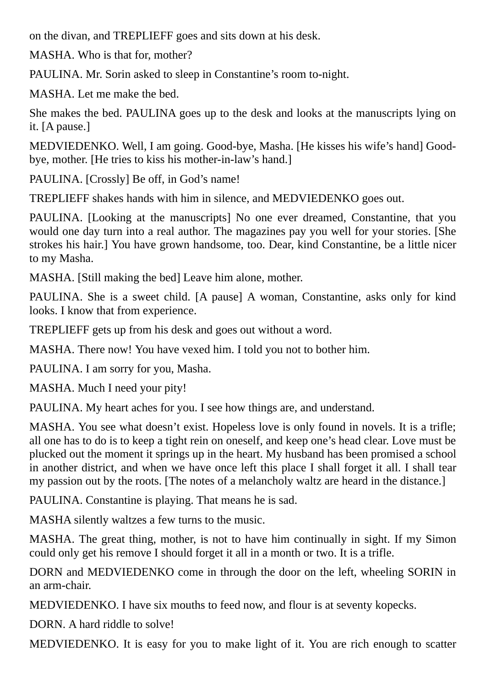on the divan, and TREPLIEFF goes and sits down at his desk.

MASHA. Who is that for, mother?

PAULINA. Mr. Sorin asked to sleep in Constantine's room to-night.

MASHA. Let me make the bed.

She makes the bed. PAULINA goes up to the desk and looks at the manuscripts lying on it. [A pause.]

MEDVIEDENKO. Well, I am going. Good-bye, Masha. [He kisses his wife's hand] Goodbye, mother. [He tries to kiss his mother-in-law's hand.]

PAULINA. [Crossly] Be off, in God's name!

TREPLIEFF shakes hands with him in silence, and MEDVIEDENKO goes out.

PAULINA. [Looking at the manuscripts] No one ever dreamed, Constantine, that you would one day turn into a real author. The magazines pay you well for your stories. [She strokes his hair.] You have grown handsome, too. Dear, kind Constantine, be a little nicer to my Masha.

MASHA. [Still making the bed] Leave him alone, mother.

PAULINA. She is a sweet child. [A pause] A woman, Constantine, asks only for kind looks. I know that from experience.

TREPLIEFF gets up from his desk and goes out without a word.

MASHA. There now! You have vexed him. I told you not to bother him.

PAULINA. I am sorry for you, Masha.

MASHA. Much I need your pity!

PAULINA. My heart aches for you. I see how things are, and understand.

MASHA. You see what doesn't exist. Hopeless love is only found in novels. It is a trifle; all one has to do is to keep a tight rein on oneself, and keep one's head clear. Love must be plucked out the moment it springs up in the heart. My husband has been promised a school in another district, and when we have once left this place I shall forget it all. I shall tear my passion out by the roots. [The notes of a melancholy waltz are heard in the distance.]

PAULINA. Constantine is playing. That means he is sad.

MASHA silently waltzes a few turns to the music.

MASHA. The great thing, mother, is not to have him continually in sight. If my Simon could only get his remove I should forget it all in a month or two. It is a trifle.

DORN and MEDVIEDENKO come in through the door on the left, wheeling SORIN in an arm-chair.

MEDVIEDENKO. I have six mouths to feed now, and flour is at seventy kopecks.

DORN. A hard riddle to solve!

MEDVIEDENKO. It is easy for you to make light of it. You are rich enough to scatter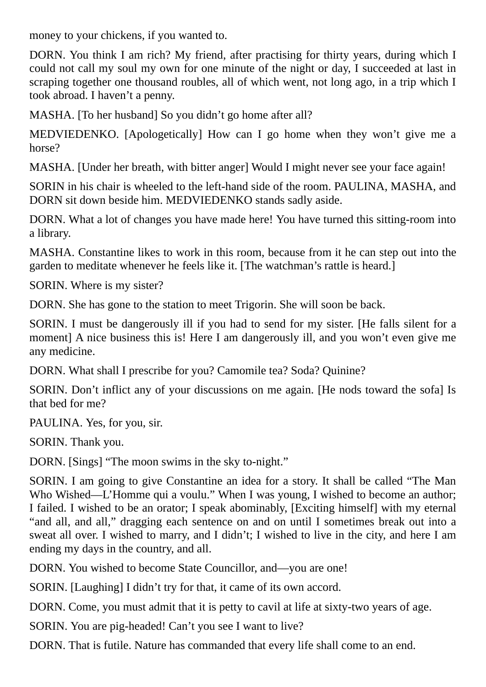money to your chickens, if you wanted to.

DORN. You think I am rich? My friend, after practising for thirty years, during which I could not call my soul my own for one minute of the night or day, I succeeded at last in scraping together one thousand roubles, all of which went, not long ago, in a trip which I took abroad. I haven't a penny.

MASHA. [To her husband] So you didn't go home after all?

MEDVIEDENKO. [Apologetically] How can I go home when they won't give me a horse?

MASHA. [Under her breath, with bitter anger] Would I might never see your face again!

SORIN in his chair is wheeled to the left-hand side of the room. PAULINA, MASHA, and DORN sit down beside him. MEDVIEDENKO stands sadly aside.

DORN. What a lot of changes you have made here! You have turned this sitting-room into a library.

MASHA. Constantine likes to work in this room, because from it he can step out into the garden to meditate whenever he feels like it. [The watchman's rattle is heard.]

SORIN. Where is my sister?

DORN. She has gone to the station to meet Trigorin. She will soon be back.

SORIN. I must be dangerously ill if you had to send for my sister. [He falls silent for a moment] A nice business this is! Here I am dangerously ill, and you won't even give me any medicine.

DORN. What shall I prescribe for you? Camomile tea? Soda? Quinine?

SORIN. Don't inflict any of your discussions on me again. [He nods toward the sofa] Is that bed for me?

PAULINA. Yes, for you, sir.

SORIN. Thank you.

DORN. [Sings] "The moon swims in the sky to-night."

SORIN. I am going to give Constantine an idea for a story. It shall be called "The Man Who Wished—L'Homme qui a voulu." When I was young, I wished to become an author; I failed. I wished to be an orator; I speak abominably, [Exciting himself] with my eternal "and all, and all," dragging each sentence on and on until I sometimes break out into a sweat all over. I wished to marry, and I didn't; I wished to live in the city, and here I am ending my days in the country, and all.

DORN. You wished to become State Councillor, and—you are one!

SORIN. [Laughing] I didn't try for that, it came of its own accord.

DORN. Come, you must admit that it is petty to cavil at life at sixty-two years of age.

SORIN. You are pig-headed! Can't you see I want to live?

DORN. That is futile. Nature has commanded that every life shall come to an end.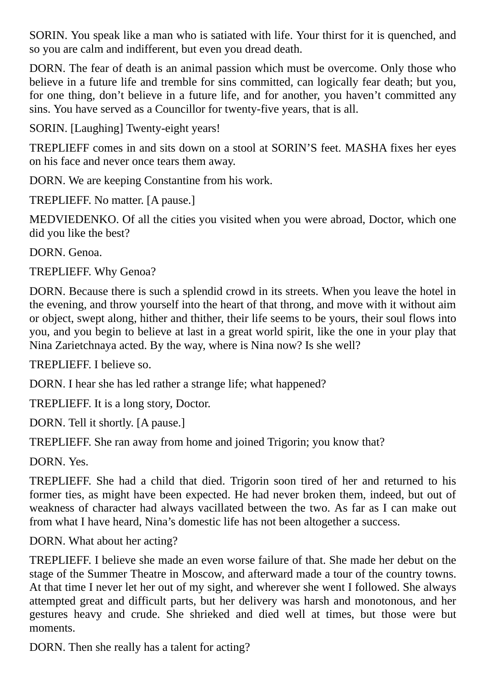SORIN. You speak like a man who is satiated with life. Your thirst for it is quenched, and so you are calm and indifferent, but even you dread death.

DORN. The fear of death is an animal passion which must be overcome. Only those who believe in a future life and tremble for sins committed, can logically fear death; but you, for one thing, don't believe in a future life, and for another, you haven't committed any sins. You have served as a Councillor for twenty-five years, that is all.

SORIN. [Laughing] Twenty-eight years!

TREPLIEFF comes in and sits down on a stool at SORIN'S feet. MASHA fixes her eyes on his face and never once tears them away.

DORN. We are keeping Constantine from his work.

TREPLIEFF. No matter. [A pause.]

MEDVIEDENKO. Of all the cities you visited when you were abroad, Doctor, which one did you like the best?

DORN. Genoa.

TREPLIEFF. Why Genoa?

DORN. Because there is such a splendid crowd in its streets. When you leave the hotel in the evening, and throw yourself into the heart of that throng, and move with it without aim or object, swept along, hither and thither, their life seems to be yours, their soul flows into you, and you begin to believe at last in a great world spirit, like the one in your play that Nina Zarietchnaya acted. By the way, where is Nina now? Is she well?

TREPLIEFF. I believe so.

DORN. I hear she has led rather a strange life; what happened?

TREPLIEFF. It is a long story, Doctor.

DORN. Tell it shortly. [A pause.]

TREPLIEFF. She ran away from home and joined Trigorin; you know that?

DORN. Yes.

TREPLIEFF. She had a child that died. Trigorin soon tired of her and returned to his former ties, as might have been expected. He had never broken them, indeed, but out of weakness of character had always vacillated between the two. As far as I can make out from what I have heard, Nina's domestic life has not been altogether a success.

DORN. What about her acting?

TREPLIEFF. I believe she made an even worse failure of that. She made her debut on the stage of the Summer Theatre in Moscow, and afterward made a tour of the country towns. At that time I never let her out of my sight, and wherever she went I followed. She always attempted great and difficult parts, but her delivery was harsh and monotonous, and her gestures heavy and crude. She shrieked and died well at times, but those were but moments.

DORN. Then she really has a talent for acting?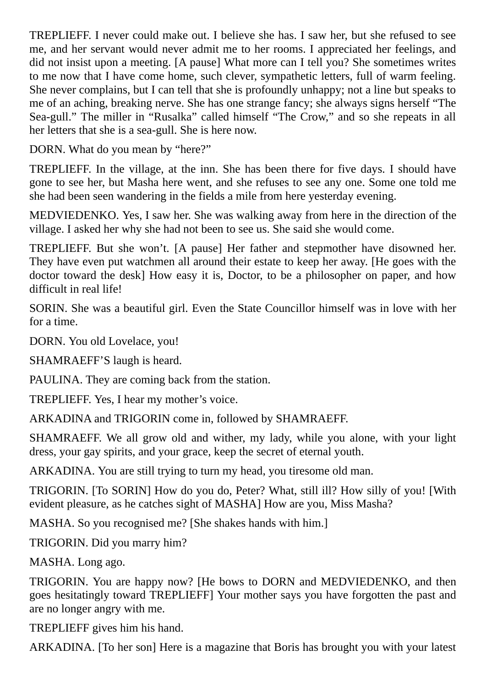TREPLIEFF. I never could make out. I believe she has. I saw her, but she refused to see me, and her servant would never admit me to her rooms. I appreciated her feelings, and did not insist upon a meeting. [A pause] What more can I tell you? She sometimes writes to me now that I have come home, such clever, sympathetic letters, full of warm feeling. She never complains, but I can tell that she is profoundly unhappy; not a line but speaks to me of an aching, breaking nerve. She has one strange fancy; she always signs herself "The Sea-gull." The miller in "Rusalka" called himself "The Crow," and so she repeats in all her letters that she is a sea-gull. She is here now.

DORN. What do you mean by "here?"

TREPLIEFF. In the village, at the inn. She has been there for five days. I should have gone to see her, but Masha here went, and she refuses to see any one. Some one told me she had been seen wandering in the fields a mile from here yesterday evening.

MEDVIEDENKO. Yes, I saw her. She was walking away from here in the direction of the village. I asked her why she had not been to see us. She said she would come.

TREPLIEFF. But she won't. [A pause] Her father and stepmother have disowned her. They have even put watchmen all around their estate to keep her away. [He goes with the doctor toward the desk] How easy it is, Doctor, to be a philosopher on paper, and how difficult in real life!

SORIN. She was a beautiful girl. Even the State Councillor himself was in love with her for a time.

DORN. You old Lovelace, you!

SHAMRAEFF'S laugh is heard.

PAULINA. They are coming back from the station.

TREPLIEFF. Yes, I hear my mother's voice.

ARKADINA and TRIGORIN come in, followed by SHAMRAEFF.

SHAMRAEFF. We all grow old and wither, my lady, while you alone, with your light dress, your gay spirits, and your grace, keep the secret of eternal youth.

ARKADINA. You are still trying to turn my head, you tiresome old man.

TRIGORIN. [To SORIN] How do you do, Peter? What, still ill? How silly of you! [With evident pleasure, as he catches sight of MASHA] How are you, Miss Masha?

MASHA. So you recognised me? [She shakes hands with him.]

TRIGORIN. Did you marry him?

MASHA. Long ago.

TRIGORIN. You are happy now? [He bows to DORN and MEDVIEDENKO, and then goes hesitatingly toward TREPLIEFF] Your mother says you have forgotten the past and are no longer angry with me.

TREPLIEFF gives him his hand.

ARKADINA. [To her son] Here is a magazine that Boris has brought you with your latest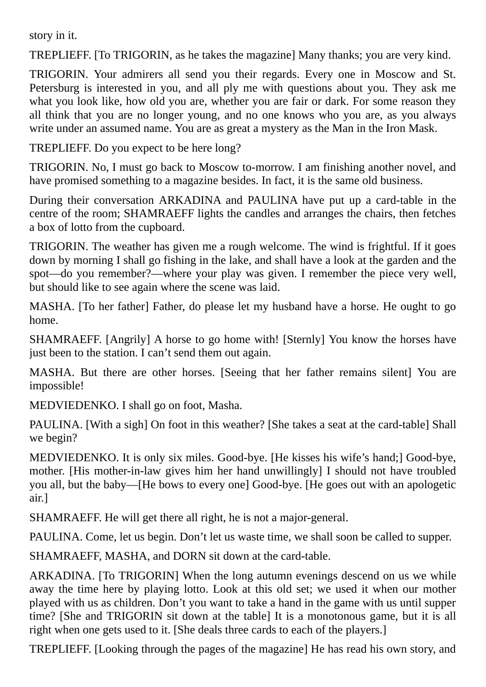story in it.

TREPLIEFF. [To TRIGORIN, as he takes the magazine] Many thanks; you are very kind.

TRIGORIN. Your admirers all send you their regards. Every one in Moscow and St. Petersburg is interested in you, and all ply me with questions about you. They ask me what you look like, how old you are, whether you are fair or dark. For some reason they all think that you are no longer young, and no one knows who you are, as you always write under an assumed name. You are as great a mystery as the Man in the Iron Mask.

TREPLIEFF. Do you expect to be here long?

TRIGORIN. No, I must go back to Moscow to-morrow. I am finishing another novel, and have promised something to a magazine besides. In fact, it is the same old business.

During their conversation ARKADINA and PAULINA have put up a card-table in the centre of the room; SHAMRAEFF lights the candles and arranges the chairs, then fetches a box of lotto from the cupboard.

TRIGORIN. The weather has given me a rough welcome. The wind is frightful. If it goes down by morning I shall go fishing in the lake, and shall have a look at the garden and the spot—do you remember?—where your play was given. I remember the piece very well, but should like to see again where the scene was laid.

MASHA. [To her father] Father, do please let my husband have a horse. He ought to go home.

SHAMRAEFF. [Angrily] A horse to go home with! [Sternly] You know the horses have just been to the station. I can't send them out again.

MASHA. But there are other horses. [Seeing that her father remains silent] You are impossible!

MEDVIEDENKO. I shall go on foot, Masha.

PAULINA. [With a sigh] On foot in this weather? [She takes a seat at the card-table] Shall we begin?

MEDVIEDENKO. It is only six miles. Good-bye. [He kisses his wife's hand;] Good-bye, mother. [His mother-in-law gives him her hand unwillingly] I should not have troubled you all, but the baby—[He bows to every one] Good-bye. [He goes out with an apologetic air.]

SHAMRAEFF. He will get there all right, he is not a major-general.

PAULINA. Come, let us begin. Don't let us waste time, we shall soon be called to supper.

SHAMRAEFF, MASHA, and DORN sit down at the card-table.

ARKADINA. [To TRIGORIN] When the long autumn evenings descend on us we while away the time here by playing lotto. Look at this old set; we used it when our mother played with us as children. Don't you want to take a hand in the game with us until supper time? [She and TRIGORIN sit down at the table] It is a monotonous game, but it is all right when one gets used to it. [She deals three cards to each of the players.]

TREPLIEFF. [Looking through the pages of the magazine] He has read his own story, and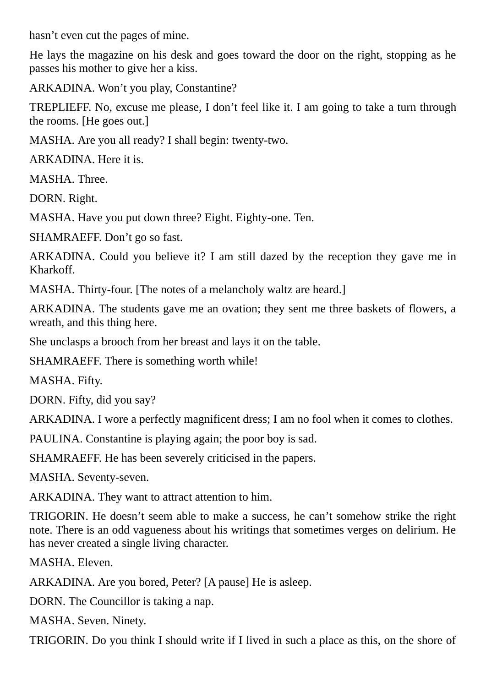hasn't even cut the pages of mine.

He lays the magazine on his desk and goes toward the door on the right, stopping as he passes his mother to give her a kiss.

ARKADINA. Won't you play, Constantine?

TREPLIEFF. No, excuse me please, I don't feel like it. I am going to take a turn through the rooms. [He goes out.]

MASHA. Are you all ready? I shall begin: twenty-two.

ARKADINA. Here it is.

MASHA. Three.

DORN. Right.

MASHA. Have you put down three? Eight. Eighty-one. Ten.

SHAMRAEFF. Don't go so fast.

ARKADINA. Could you believe it? I am still dazed by the reception they gave me in Kharkoff.

MASHA. Thirty-four. [The notes of a melancholy waltz are heard.]

ARKADINA. The students gave me an ovation; they sent me three baskets of flowers, a wreath, and this thing here.

She unclasps a brooch from her breast and lays it on the table.

SHAMRAEFF. There is something worth while!

MASHA. Fifty.

DORN. Fifty, did you say?

ARKADINA. I wore a perfectly magnificent dress; I am no fool when it comes to clothes.

PAULINA. Constantine is playing again; the poor boy is sad.

SHAMRAEFF. He has been severely criticised in the papers.

MASHA. Seventy-seven.

ARKADINA. They want to attract attention to him.

TRIGORIN. He doesn't seem able to make a success, he can't somehow strike the right note. There is an odd vagueness about his writings that sometimes verges on delirium. He has never created a single living character.

MASHA. Eleven.

ARKADINA. Are you bored, Peter? [A pause] He is asleep.

DORN. The Councillor is taking a nap.

MASHA. Seven. Ninety.

TRIGORIN. Do you think I should write if I lived in such a place as this, on the shore of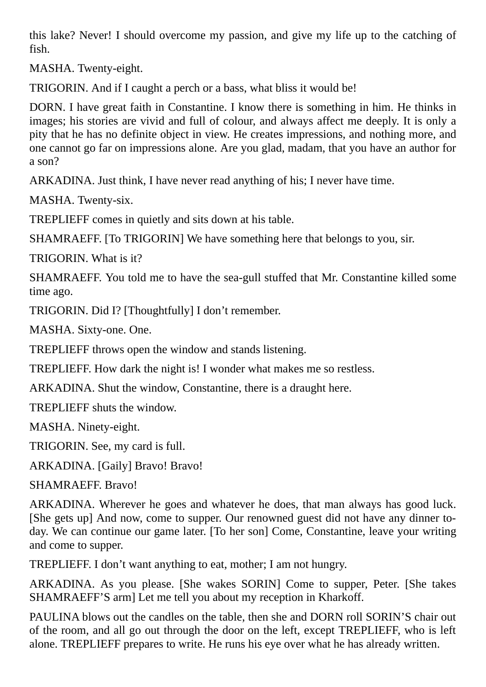this lake? Never! I should overcome my passion, and give my life up to the catching of fish.

MASHA. Twenty-eight.

TRIGORIN. And if I caught a perch or a bass, what bliss it would be!

DORN. I have great faith in Constantine. I know there is something in him. He thinks in images; his stories are vivid and full of colour, and always affect me deeply. It is only a pity that he has no definite object in view. He creates impressions, and nothing more, and one cannot go far on impressions alone. Are you glad, madam, that you have an author for a son?

ARKADINA. Just think, I have never read anything of his; I never have time.

MASHA. Twenty-six.

TREPLIEFF comes in quietly and sits down at his table.

SHAMRAEFF. [To TRIGORIN] We have something here that belongs to you, sir.

TRIGORIN. What is it?

SHAMRAEFF. You told me to have the sea-gull stuffed that Mr. Constantine killed some time ago.

TRIGORIN. Did I? [Thoughtfully] I don't remember.

MASHA. Sixty-one. One.

TREPLIEFF throws open the window and stands listening.

TREPLIEFF. How dark the night is! I wonder what makes me so restless.

ARKADINA. Shut the window, Constantine, there is a draught here.

TREPLIEFF shuts the window.

MASHA. Ninety-eight.

TRIGORIN. See, my card is full.

ARKADINA. [Gaily] Bravo! Bravo!

SHAMRAEFF. Bravo!

ARKADINA. Wherever he goes and whatever he does, that man always has good luck. [She gets up] And now, come to supper. Our renowned guest did not have any dinner today. We can continue our game later. [To her son] Come, Constantine, leave your writing and come to supper.

TREPLIEFF. I don't want anything to eat, mother; I am not hungry.

ARKADINA. As you please. [She wakes SORIN] Come to supper, Peter. [She takes SHAMRAEFF'S arm] Let me tell you about my reception in Kharkoff.

PAULINA blows out the candles on the table, then she and DORN roll SORIN'S chair out of the room, and all go out through the door on the left, except TREPLIEFF, who is left alone. TREPLIEFF prepares to write. He runs his eye over what he has already written.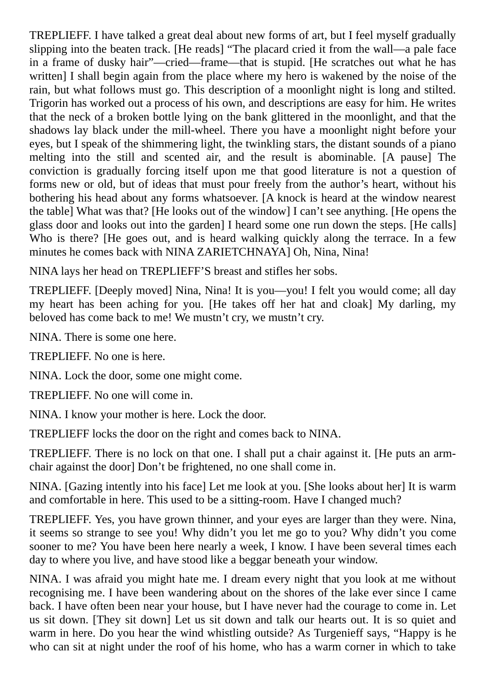TREPLIEFF. I have talked a great deal about new forms of art, but I feel myself gradually slipping into the beaten track. [He reads] "The placard cried it from the wall—a pale face in a frame of dusky hair"—cried—frame—that is stupid. [He scratches out what he has written] I shall begin again from the place where my hero is wakened by the noise of the rain, but what follows must go. This description of a moonlight night is long and stilted. Trigorin has worked out a process of his own, and descriptions are easy for him. He writes that the neck of a broken bottle lying on the bank glittered in the moonlight, and that the shadows lay black under the mill-wheel. There you have a moonlight night before your eyes, but I speak of the shimmering light, the twinkling stars, the distant sounds of a piano melting into the still and scented air, and the result is abominable. [A pause] The conviction is gradually forcing itself upon me that good literature is not a question of forms new or old, but of ideas that must pour freely from the author's heart, without his bothering his head about any forms whatsoever. [A knock is heard at the window nearest the table] What was that? [He looks out of the window] I can't see anything. [He opens the glass door and looks out into the garden] I heard some one run down the steps. [He calls] Who is there? [He goes out, and is heard walking quickly along the terrace. In a few minutes he comes back with NINA ZARIETCHNAYA] Oh, Nina, Nina!

NINA lays her head on TREPLIEFF'S breast and stifles her sobs.

TREPLIEFF. [Deeply moved] Nina, Nina! It is you—you! I felt you would come; all day my heart has been aching for you. [He takes off her hat and cloak] My darling, my beloved has come back to me! We mustn't cry, we mustn't cry.

NINA. There is some one here.

TREPLIEFF. No one is here.

NINA. Lock the door, some one might come.

TREPLIEFF. No one will come in.

NINA. I know your mother is here. Lock the door.

TREPLIEFF locks the door on the right and comes back to NINA.

TREPLIEFF. There is no lock on that one. I shall put a chair against it. [He puts an armchair against the door] Don't be frightened, no one shall come in.

NINA. [Gazing intently into his face] Let me look at you. [She looks about her] It is warm and comfortable in here. This used to be a sitting-room. Have I changed much?

TREPLIEFF. Yes, you have grown thinner, and your eyes are larger than they were. Nina, it seems so strange to see you! Why didn't you let me go to you? Why didn't you come sooner to me? You have been here nearly a week, I know. I have been several times each day to where you live, and have stood like a beggar beneath your window.

NINA. I was afraid you might hate me. I dream every night that you look at me without recognising me. I have been wandering about on the shores of the lake ever since I came back. I have often been near your house, but I have never had the courage to come in. Let us sit down. [They sit down] Let us sit down and talk our hearts out. It is so quiet and warm in here. Do you hear the wind whistling outside? As Turgenieff says, "Happy is he who can sit at night under the roof of his home, who has a warm corner in which to take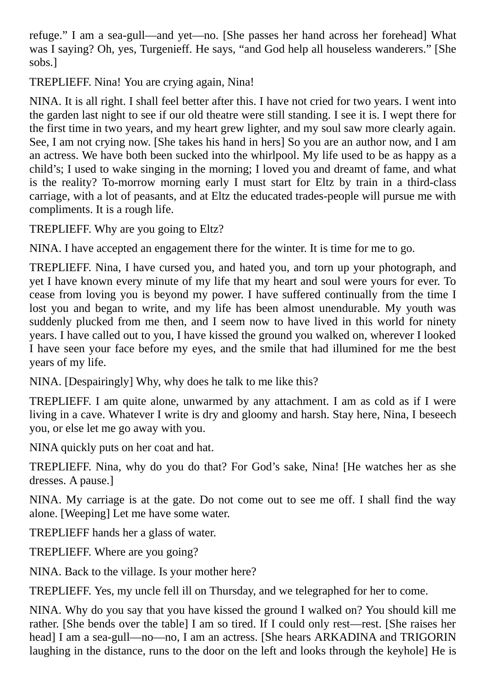refuge." I am a sea-gull—and yet—no. [She passes her hand across her forehead] What was I saying? Oh, yes, Turgenieff. He says, "and God help all houseless wanderers." [She sobs.]

TREPLIEFF. Nina! You are crying again, Nina!

NINA. It is all right. I shall feel better after this. I have not cried for two years. I went into the garden last night to see if our old theatre were still standing. I see it is. I wept there for the first time in two years, and my heart grew lighter, and my soul saw more clearly again. See, I am not crying now. [She takes his hand in hers] So you are an author now, and I am an actress. We have both been sucked into the whirlpool. My life used to be as happy as a child's; I used to wake singing in the morning; I loved you and dreamt of fame, and what is the reality? To-morrow morning early I must start for Eltz by train in a third-class carriage, with a lot of peasants, and at Eltz the educated trades-people will pursue me with compliments. It is a rough life.

TREPLIEFF. Why are you going to Eltz?

NINA. I have accepted an engagement there for the winter. It is time for me to go.

TREPLIEFF. Nina, I have cursed you, and hated you, and torn up your photograph, and yet I have known every minute of my life that my heart and soul were yours for ever. To cease from loving you is beyond my power. I have suffered continually from the time I lost you and began to write, and my life has been almost unendurable. My youth was suddenly plucked from me then, and I seem now to have lived in this world for ninety years. I have called out to you, I have kissed the ground you walked on, wherever I looked I have seen your face before my eyes, and the smile that had illumined for me the best years of my life.

NINA. [Despairingly] Why, why does he talk to me like this?

TREPLIEFF. I am quite alone, unwarmed by any attachment. I am as cold as if I were living in a cave. Whatever I write is dry and gloomy and harsh. Stay here, Nina, I beseech you, or else let me go away with you.

NINA quickly puts on her coat and hat.

TREPLIEFF. Nina, why do you do that? For God's sake, Nina! [He watches her as she dresses. A pause.]

NINA. My carriage is at the gate. Do not come out to see me off. I shall find the way alone. [Weeping] Let me have some water.

TREPLIEFF hands her a glass of water.

TREPLIEFF. Where are you going?

NINA. Back to the village. Is your mother here?

TREPLIEFF. Yes, my uncle fell ill on Thursday, and we telegraphed for her to come.

NINA. Why do you say that you have kissed the ground I walked on? You should kill me rather. [She bends over the table] I am so tired. If I could only rest—rest. [She raises her head] I am a sea-gull—no—no, I am an actress. [She hears ARKADINA and TRIGORIN laughing in the distance, runs to the door on the left and looks through the keyhole] He is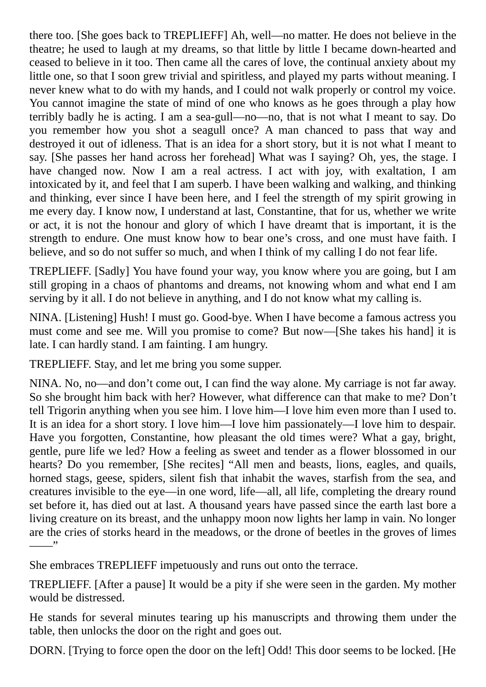there too. [She goes back to TREPLIEFF] Ah, well—no matter. He does not believe in the theatre; he used to laugh at my dreams, so that little by little I became down-hearted and ceased to believe in it too. Then came all the cares of love, the continual anxiety about my little one, so that I soon grew trivial and spiritless, and played my parts without meaning. I never knew what to do with my hands, and I could not walk properly or control my voice. You cannot imagine the state of mind of one who knows as he goes through a play how terribly badly he is acting. I am a sea-gull—no—no, that is not what I meant to say. Do you remember how you shot a seagull once? A man chanced to pass that way and destroyed it out of idleness. That is an idea for a short story, but it is not what I meant to say. [She passes her hand across her forehead] What was I saying? Oh, yes, the stage. I have changed now. Now I am a real actress. I act with joy, with exaltation, I am intoxicated by it, and feel that I am superb. I have been walking and walking, and thinking and thinking, ever since I have been here, and I feel the strength of my spirit growing in me every day. I know now, I understand at last, Constantine, that for us, whether we write or act, it is not the honour and glory of which I have dreamt that is important, it is the strength to endure. One must know how to bear one's cross, and one must have faith. I believe, and so do not suffer so much, and when I think of my calling I do not fear life.

TREPLIEFF. [Sadly] You have found your way, you know where you are going, but I am still groping in a chaos of phantoms and dreams, not knowing whom and what end I am serving by it all. I do not believe in anything, and I do not know what my calling is.

NINA. [Listening] Hush! I must go. Good-bye. When I have become a famous actress you must come and see me. Will you promise to come? But now—[She takes his hand] it is late. I can hardly stand. I am fainting. I am hungry.

TREPLIEFF. Stay, and let me bring you some supper.

NINA. No, no—and don't come out, I can find the way alone. My carriage is not far away. So she brought him back with her? However, what difference can that make to me? Don't tell Trigorin anything when you see him. I love him—I love him even more than I used to. It is an idea for a short story. I love him—I love him passionately—I love him to despair. Have you forgotten, Constantine, how pleasant the old times were? What a gay, bright, gentle, pure life we led? How a feeling as sweet and tender as a flower blossomed in our hearts? Do you remember, [She recites] "All men and beasts, lions, eagles, and quails, horned stags, geese, spiders, silent fish that inhabit the waves, starfish from the sea, and creatures invisible to the eye—in one word, life—all, all life, completing the dreary round set before it, has died out at last. A thousand years have passed since the earth last bore a living creature on its breast, and the unhappy moon now lights her lamp in vain. No longer are the cries of storks heard in the meadows, or the drone of beetles in the groves of limes  $\overline{\phantom{a}}$ 

She embraces TREPLIEFF impetuously and runs out onto the terrace.

TREPLIEFF. [After a pause] It would be a pity if she were seen in the garden. My mother would be distressed.

He stands for several minutes tearing up his manuscripts and throwing them under the table, then unlocks the door on the right and goes out.

DORN. [Trying to force open the door on the left] Odd! This door seems to be locked. [He